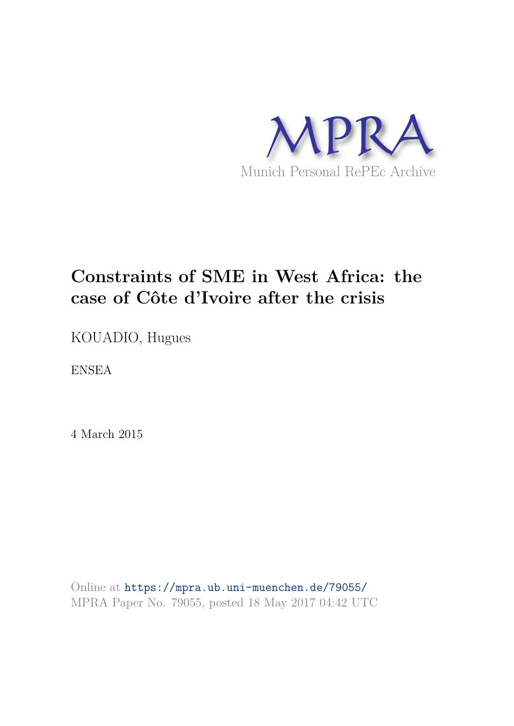

# **Constraints of SME in West Africa: the case of Côte d'Ivoire after the crisis**

KOUADIO, Hugues

ENSEA

4 March 2015

Online at https://mpra.ub.uni-muenchen.de/79055/ MPRA Paper No. 79055, posted 18 May 2017 04:42 UTC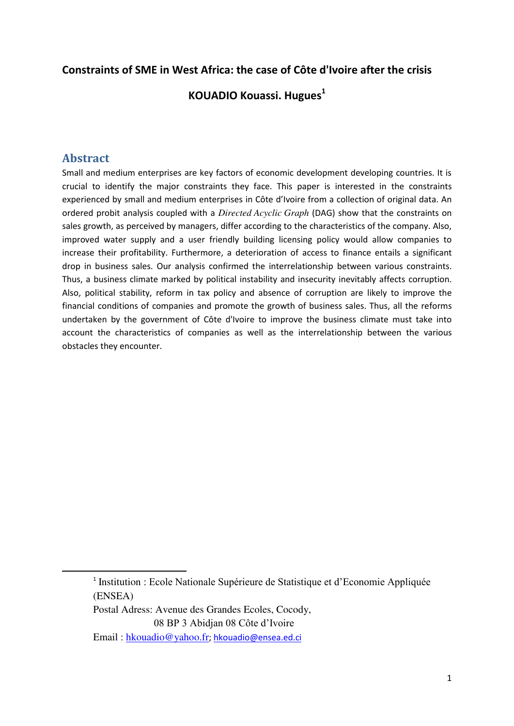## **Constraints of SME in West Africa: the case of Côte d'Ivoire after the crisis**

#### **KOUADIO Kouassi. Hugues<sup>1</sup>**

## **Abstract**

-

Small and medium enterprises are key factors of economic development developing countries. It is crucial to identify the major constraints they face. This paper is interested in the constraints experienced by small and medium enterprises in Côte d'Ivoire from a collection of original data. An ordered probit analysis coupled with a *Directed Acyclic Graph* (DAG) show that the constraints on sales growth, as perceived by managers, differ according to the characteristics of the company. Also, improved water supply and a user friendly building licensing policy would allow companies to increase their profitability. Furthermore, a deterioration of access to finance entails a significant drop in business sales. Our analysis confirmed the interrelationship between various constraints. Thus, a business climate marked by political instability and insecurity inevitably affects corruption. Also, political stability, reform in tax policy and absence of corruption are likely to improve the financial conditions of companies and promote the growth of business sales. Thus, all the reforms undertaken by the government of Côte d'Ivoire to improve the business climate must take into account the characteristics of companies as well as the interrelationship between the various obstacles they encounter.

<sup>&</sup>lt;sup>1</sup> Institution : Ecole Nationale Supérieure de Statistique et d'Economie Appliquée (ENSEA)

Postal Adress: Avenue des Grandes Ecoles, Cocody, 08 BP 3 Abidjan 08 Côte d'Ivoire

Email : [hkouadio@yahoo.fr](mailto:hkouadio@yahoo.fr); [hkouadio@ensea.ed.ci](mailto:hkouadio@ensea.ed.ci)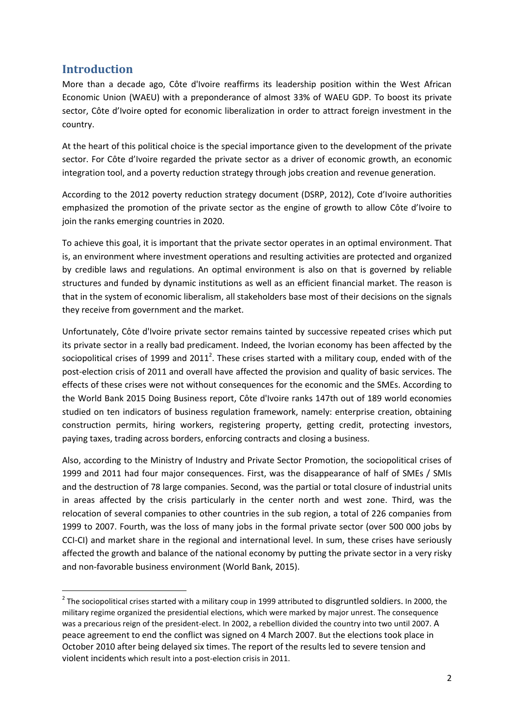# **Introduction**

-

More than a decade ago, Côte d'Ivoire reaffirms its leadership position within the West African Economic Union (WAEU) with a preponderance of almost 33% of WAEU GDP. To boost its private sector, Côte d'Ivoire opted for economic liberalization in order to attract foreign investment in the country.

At the heart of this political choice is the special importance given to the development of the private sector. For Côte d'Ivoire regarded the private sector as a driver of economic growth, an economic integration tool, and a poverty reduction strategy through jobs creation and revenue generation.

According to the 2012 poverty reduction strategy document (DSRP, 2012), Cote d'Ivoire authorities emphasized the promotion of the private sector as the engine of growth to allow Côte d'Ivoire to join the ranks emerging countries in 2020.

To achieve this goal, it is important that the private sector operates in an optimal environment. That is, an environment where investment operations and resulting activities are protected and organized by credible laws and regulations. An optimal environment is also on that is governed by reliable structures and funded by dynamic institutions as well as an efficient financial market. The reason is that in the system of economic liberalism, all stakeholders base most of their decisions on the signals they receive from government and the market.

Unfortunately, Côte d'Ivoire private sector remains tainted by successive repeated crises which put its private sector in a really bad predicament. Indeed, the Ivorian economy has been affected by the sociopolitical crises of 1999 and 2011<sup>2</sup>. These crises started with a military coup, ended with of the post-election crisis of 2011 and overall have affected the provision and quality of basic services. The effects of these crises were not without consequences for the economic and the SMEs. According to the World Bank 2015 Doing Business report, Côte d'Ivoire ranks 147th out of 189 world economies studied on ten indicators of business regulation framework, namely: enterprise creation, obtaining construction permits, hiring workers, registering property, getting credit, protecting investors, paying taxes, trading across borders, enforcing contracts and closing a business.

Also, according to the Ministry of Industry and Private Sector Promotion, the sociopolitical crises of 1999 and 2011 had four major consequences. First, was the disappearance of half of SMEs / SMIs and the destruction of 78 large companies. Second, was the partial or total closure of industrial units in areas affected by the crisis particularly in the center north and west zone. Third, was the relocation of several companies to other countries in the sub region, a total of 226 companies from 1999 to 2007. Fourth, was the loss of many jobs in the formal private sector (over 500 000 jobs by CCI-CI) and market share in the regional and international level. In sum, these crises have seriously affected the growth and balance of the national economy by putting the private sector in a very risky and non-favorable business environment (World Bank, 2015).

 $^2$  The sociopolitical crises started with a military coup in 1999 attributed to disgruntled soldiers. In 2000, the military regime organized the presidential elections, which were marked by major unrest. The consequence was a precarious reign of the president-elect. In 2002, a rebellion divided the country into two until 2007. A peace agreement to end the conflict was signed on 4 March 2007. But the elections took place in October 2010 after being delayed six times. The report of the results led to severe tension and violent incidents which result into a post-election crisis in 2011.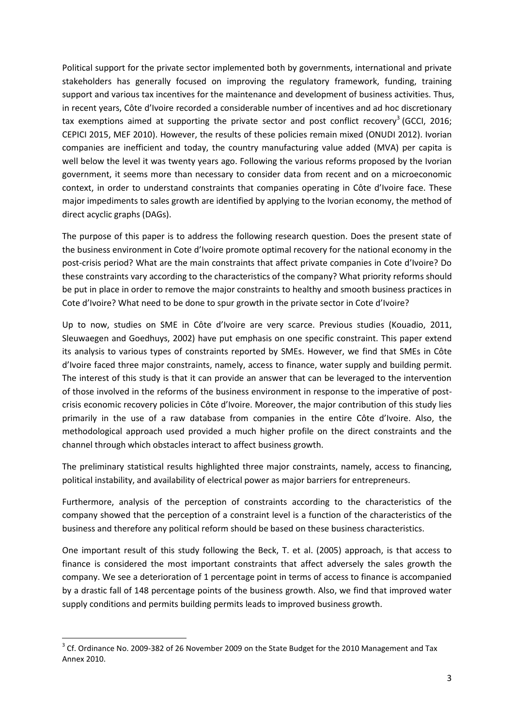Political support for the private sector implemented both by governments, international and private stakeholders has generally focused on improving the regulatory framework, funding, training support and various tax incentives for the maintenance and development of business activities. Thus, in recent years, Côte d'Ivoire recorded a considerable number of incentives and ad hoc discretionary tax exemptions aimed at supporting the private sector and post conflict recovery<sup>3</sup> (GCCI, 2016; CEPICI 2015, MEF 2010). However, the results of these policies remain mixed (ONUDI 2012). Ivorian companies are inefficient and today, the country manufacturing value added (MVA) per capita is well below the level it was twenty years ago. Following the various reforms proposed by the Ivorian government, it seems more than necessary to consider data from recent and on a microeconomic context, in order to understand constraints that companies operating in Côte d'Ivoire face. These major impediments to sales growth are identified by applying to the Ivorian economy, the method of direct acyclic graphs (DAGs).

The purpose of this paper is to address the following research question. Does the present state of the business environment in Cote d'Ivoire promote optimal recovery for the national economy in the post-crisis period? What are the main constraints that affect private companies in Cote d'Ivoire? Do these constraints vary according to the characteristics of the company? What priority reforms should be put in place in order to remove the major constraints to healthy and smooth business practices in Cote d'Ivoire? What need to be done to spur growth in the private sector in Cote d'Ivoire?

Up to now, studies on SME in Côte d'Ivoire are very scarce. Previous studies (Kouadio, 2011, Sleuwaegen and Goedhuys, 2002) have put emphasis on one specific constraint. This paper extend its analysis to various types of constraints reported by SMEs. However, we find that SMEs in Côte d'Ivoire faced three major constraints, namely, access to finance, water supply and building permit. The interest of this study is that it can provide an answer that can be leveraged to the intervention of those involved in the reforms of the business environment in response to the imperative of postcrisis economic recovery policies in Côte d'Ivoire. Moreover, the major contribution of this study lies primarily in the use of a raw database from companies in the entire Côte d'Ivoire. Also, the methodological approach used provided a much higher profile on the direct constraints and the channel through which obstacles interact to affect business growth.

The preliminary statistical results highlighted three major constraints, namely, access to financing, political instability, and availability of electrical power as major barriers for entrepreneurs.

Furthermore, analysis of the perception of constraints according to the characteristics of the company showed that the perception of a constraint level is a function of the characteristics of the business and therefore any political reform should be based on these business characteristics.

One important result of this study following the Beck, T. et al. (2005) approach, is that access to finance is considered the most important constraints that affect adversely the sales growth the company. We see a deterioration of 1 percentage point in terms of access to finance is accompanied by a drastic fall of 148 percentage points of the business growth. Also, we find that improved water supply conditions and permits building permits leads to improved business growth.

<u>.</u>

 $3$  Cf. Ordinance No. 2009-382 of 26 November 2009 on the State Budget for the 2010 Management and Tax Annex 2010.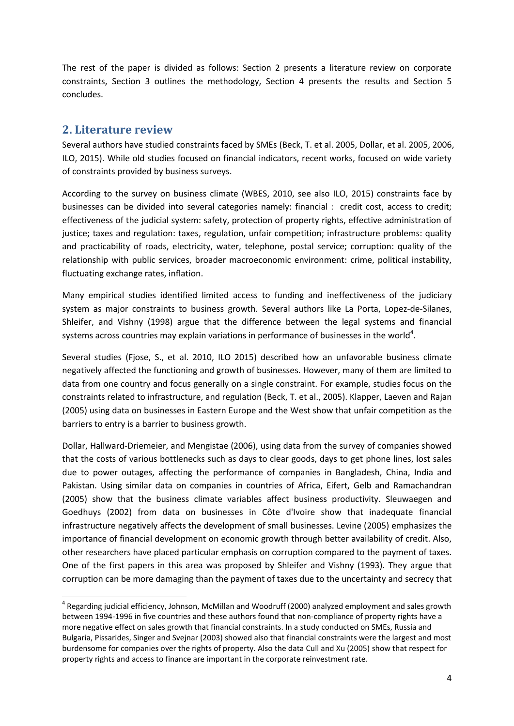The rest of the paper is divided as follows: Section 2 presents a literature review on corporate constraints, Section 3 outlines the methodology, Section 4 presents the results and Section 5 concludes.

#### **2. Literature review**

<u>.</u>

Several authors have studied constraints faced by SMEs (Beck, T. et al. 2005, Dollar, et al. 2005, 2006, ILO, 2015). While old studies focused on financial indicators, recent works, focused on wide variety of constraints provided by business surveys.

According to the survey on business climate (WBES, 2010, see also ILO, 2015) constraints face by businesses can be divided into several categories namely: financial : credit cost, access to credit; effectiveness of the judicial system: safety, protection of property rights, effective administration of justice; taxes and regulation: taxes, regulation, unfair competition; infrastructure problems: quality and practicability of roads, electricity, water, telephone, postal service; corruption: quality of the relationship with public services, broader macroeconomic environment: crime, political instability, fluctuating exchange rates, inflation.

Many empirical studies identified limited access to funding and ineffectiveness of the judiciary system as major constraints to business growth. Several authors like La Porta, Lopez-de-Silanes, Shleifer, and Vishny (1998) argue that the difference between the legal systems and financial systems across countries may explain variations in performance of businesses in the world<sup>4</sup>.

Several studies (Fjose, S., et al. 2010, ILO 2015) described how an unfavorable business climate negatively affected the functioning and growth of businesses. However, many of them are limited to data from one country and focus generally on a single constraint. For example, studies focus on the constraints related to infrastructure, and regulation (Beck, T. et al., 2005). Klapper, Laeven and Rajan (2005) using data on businesses in Eastern Europe and the West show that unfair competition as the barriers to entry is a barrier to business growth.

Dollar, Hallward-Driemeier, and Mengistae (2006), using data from the survey of companies showed that the costs of various bottlenecks such as days to clear goods, days to get phone lines, lost sales due to power outages, affecting the performance of companies in Bangladesh, China, India and Pakistan. Using similar data on companies in countries of Africa, Eifert, Gelb and Ramachandran (2005) show that the business climate variables affect business productivity. Sleuwaegen and Goedhuys (2002) from data on businesses in Côte d'Ivoire show that inadequate financial infrastructure negatively affects the development of small businesses. Levine (2005) emphasizes the importance of financial development on economic growth through better availability of credit. Also, other researchers have placed particular emphasis on corruption compared to the payment of taxes. One of the first papers in this area was proposed by Shleifer and Vishny (1993). They argue that corruption can be more damaging than the payment of taxes due to the uncertainty and secrecy that

<sup>&</sup>lt;sup>4</sup> Regarding judicial efficiency, Johnson, McMillan and Woodruff (2000) analyzed employment and sales growth between 1994-1996 in five countries and these authors found that non-compliance of property rights have a more negative effect on sales growth that financial constraints. In a study conducted on SMEs, Russia and Bulgaria, Pissarides, Singer and Svejnar (2003) showed also that financial constraints were the largest and most burdensome for companies over the rights of property. Also the data Cull and Xu (2005) show that respect for property rights and access to finance are important in the corporate reinvestment rate.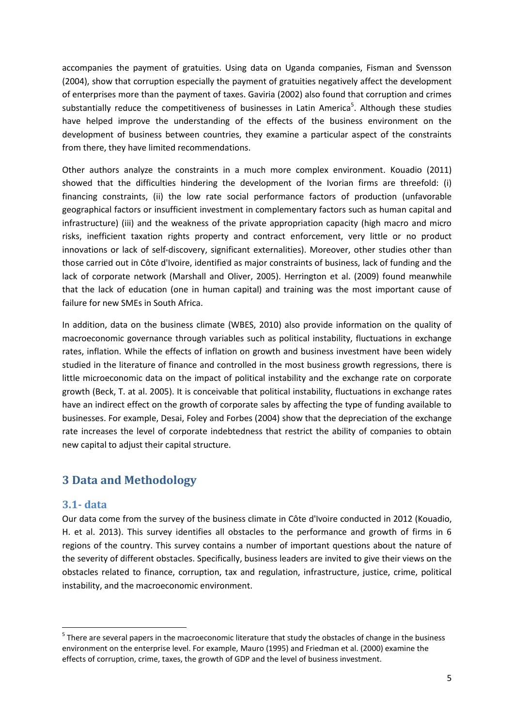accompanies the payment of gratuities. Using data on Uganda companies, Fisman and Svensson (2004), show that corruption especially the payment of gratuities negatively affect the development of enterprises more than the payment of taxes. Gaviria (2002) also found that corruption and crimes substantially reduce the competitiveness of businesses in Latin America<sup>5</sup>. Although these studies have helped improve the understanding of the effects of the business environment on the development of business between countries, they examine a particular aspect of the constraints from there, they have limited recommendations.

Other authors analyze the constraints in a much more complex environment. Kouadio (2011) showed that the difficulties hindering the development of the Ivorian firms are threefold: (i) financing constraints, (ii) the low rate social performance factors of production (unfavorable geographical factors or insufficient investment in complementary factors such as human capital and infrastructure) (iii) and the weakness of the private appropriation capacity (high macro and micro risks, inefficient taxation rights property and contract enforcement, very little or no product innovations or lack of self-discovery, significant externalities). Moreover, other studies other than those carried out in Côte d'Ivoire, identified as major constraints of business, lack of funding and the lack of corporate network (Marshall and Oliver, 2005). Herrington et al. (2009) found meanwhile that the lack of education (one in human capital) and training was the most important cause of failure for new SMEs in South Africa.

In addition, data on the business climate (WBES, 2010) also provide information on the quality of macroeconomic governance through variables such as political instability, fluctuations in exchange rates, inflation. While the effects of inflation on growth and business investment have been widely studied in the literature of finance and controlled in the most business growth regressions, there is little microeconomic data on the impact of political instability and the exchange rate on corporate growth (Beck, T. at al. 2005). It is conceivable that political instability, fluctuations in exchange rates have an indirect effect on the growth of corporate sales by affecting the type of funding available to businesses. For example, Desai, Foley and Forbes (2004) show that the depreciation of the exchange rate increases the level of corporate indebtedness that restrict the ability of companies to obtain new capital to adjust their capital structure.

## **3 Data and Methodology**

#### **3.1- data**

-

Our data come from the survey of the business climate in Côte d'Ivoire conducted in 2012 (Kouadio, H. et al. 2013). This survey identifies all obstacles to the performance and growth of firms in 6 regions of the country. This survey contains a number of important questions about the nature of the severity of different obstacles. Specifically, business leaders are invited to give their views on the obstacles related to finance, corruption, tax and regulation, infrastructure, justice, crime, political instability, and the macroeconomic environment.

<sup>&</sup>lt;sup>5</sup> There are several papers in the macroeconomic literature that study the obstacles of change in the business environment on the enterprise level. For example, Mauro (1995) and Friedman et al. (2000) examine the effects of corruption, crime, taxes, the growth of GDP and the level of business investment.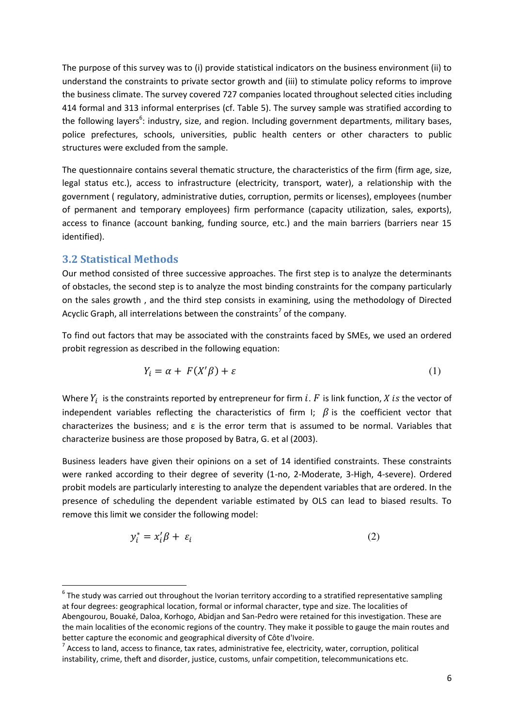The purpose of this survey was to (i) provide statistical indicators on the business environment (ii) to understand the constraints to private sector growth and (iii) to stimulate policy reforms to improve the business climate. The survey covered 727 companies located throughout selected cities including 414 formal and 313 informal enterprises (cf. Table 5). The survey sample was stratified according to the following layers<sup>6</sup>: industry, size, and region. Including government departments, military bases, police prefectures, schools, universities, public health centers or other characters to public structures were excluded from the sample.

The questionnaire contains several thematic structure, the characteristics of the firm (firm age, size, legal status etc.), access to infrastructure (electricity, transport, water), a relationship with the government ( regulatory, administrative duties, corruption, permits or licenses), employees (number of permanent and temporary employees) firm performance (capacity utilization, sales, exports), access to finance (account banking, funding source, etc.) and the main barriers (barriers near 15 identified).

#### **3.2 Statistical Methods**

<u>.</u>

Our method consisted of three successive approaches. The first step is to analyze the determinants of obstacles, the second step is to analyze the most binding constraints for the company particularly on the sales growth , and the third step consists in examining, using the methodology of Directed Acyclic Graph, all interrelations between the constraints<sup>7</sup> of the company.

To find out factors that may be associated with the constraints faced by SMEs, we used an ordered probit regression as described in the following equation:

$$
Y_i = \alpha + F(X'\beta) + \varepsilon \tag{1}
$$

Where  $Y_i$  is the constraints reported by entrepreneur for firm i. F is link function, X is the vector of independent variables reflecting the characteristics of firm I;  $\beta$  is the coefficient vector that characterizes the business; and ε is the error term that is assumed to be normal. Variables that characterize business are those proposed by Batra, G. et al (2003).

Business leaders have given their opinions on a set of 14 identified constraints. These constraints were ranked according to their degree of severity (1-no, 2-Moderate, 3-High, 4-severe). Ordered probit models are particularly interesting to analyze the dependent variables that are ordered. In the presence of scheduling the dependent variable estimated by OLS can lead to biased results. To remove this limit we consider the following model:

$$
y_i^* = x_i' \beta + \varepsilon_i \tag{2}
$$

 $<sup>6</sup>$  The study was carried out throughout the Ivorian territory according to a stratified representative sampling</sup> at four degrees: geographical location, formal or informal character, type and size. The localities of Abengourou, Bouaké, Daloa, Korhogo, Abidjan and San-Pedro were retained for this investigation. These are the main localities of the economic regions of the country. They make it possible to gauge the main routes and better capture the economic and geographical diversity of Côte d'Ivoire.

 $^7$  Access to land, access to finance, tax rates, administrative fee, electricity, water, corruption, political instability, crime, theft and disorder, justice, customs, unfair competition, telecommunications etc.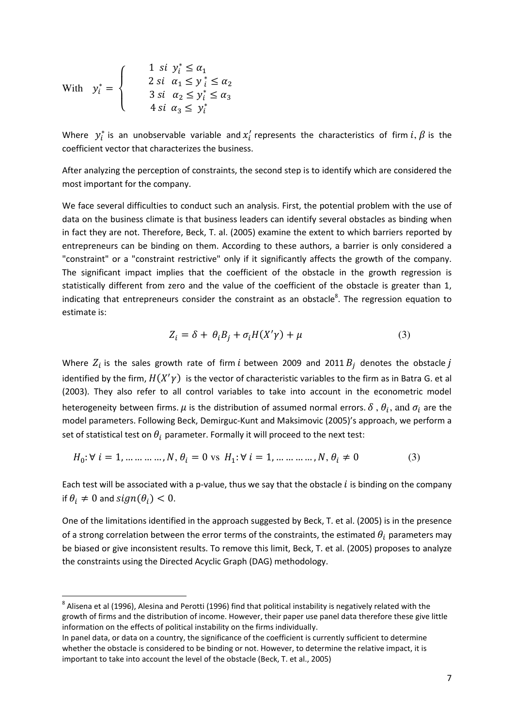$$
\text{With } y_i^* = \begin{cases} 1 & \text{si } y_i^* \le \alpha_1 \\ 2 & \text{si } \alpha_1 \le y_i^* \le \alpha_2 \\ 3 & \text{si } \alpha_2 \le y_i^* \le \alpha_3 \\ 4 & \text{si } \alpha_3 \le y_i^* \end{cases}
$$

<u>.</u>

Where  $y_i^*$  is an unobservable variable and  $x_i'$  represents the characteristics of firm  $i, \beta$  is the coefficient vector that characterizes the business.

After analyzing the perception of constraints, the second step is to identify which are considered the most important for the company.

We face several difficulties to conduct such an analysis. First, the potential problem with the use of data on the business climate is that business leaders can identify several obstacles as binding when in fact they are not. Therefore, Beck, T. al. (2005) examine the extent to which barriers reported by entrepreneurs can be binding on them. According to these authors, a barrier is only considered a "constraint" or a "constraint restrictive" only if it significantly affects the growth of the company. The significant impact implies that the coefficient of the obstacle in the growth regression is statistically different from zero and the value of the coefficient of the obstacle is greater than 1, indicating that entrepreneurs consider the constraint as an obstacle $8$ . The regression equation to estimate is:

$$
Z_i = \delta + \theta_i B_i + \sigma_i H(X'\gamma) + \mu \tag{3}
$$

Where  $Z_i$  is the sales growth rate of firm i between 2009 and 2011  $B_i$  denotes the obstacle identified by the firm,  $H(X'y)$  is the vector of characteristic variables to the firm as in Batra G. et al (2003). They also refer to all control variables to take into account in the econometric model heterogeneity between firms.  $\mu$  is the distribution of assumed normal errors.  $\delta$  ,  $\theta_i$ , and  $\sigma_i$  are the model parameters. Following Beck, Demirguc-Kunt and Maksimovic (2005)'s approach, we perform a set of statistical test on  $\theta_i$  parameter. Formally it will proceed to the next test:

$$
H_0: \forall i = 1, \dots, \dots, N, \theta_i = 0 \text{ vs } H_1: \forall i = 1, \dots, \dots, N, \theta_i \neq 0 \tag{3}
$$

Each test will be associated with a p-value, thus we say that the obstacle  $i$  is binding on the company if  $\theta_i \neq 0$  and  $sign(\theta_i) < 0$ .

One of the limitations identified in the approach suggested by Beck, T. et al. (2005) is in the presence of a strong correlation between the error terms of the constraints, the estimated  $\theta_i$  parameters may be biased or give inconsistent results. To remove this limit, Beck, T. et al. (2005) proposes to analyze the constraints using the Directed Acyclic Graph (DAG) methodology.

 $^8$  Alisena et al (1996), Alesina and Perotti (1996) find that political instability is negatively related with the growth of firms and the distribution of income. However, their paper use panel data therefore these give little information on the effects of political instability on the firms individually.

In panel data, or data on a country, the significance of the coefficient is currently sufficient to determine whether the obstacle is considered to be binding or not. However, to determine the relative impact, it is important to take into account the level of the obstacle (Beck, T. et al., 2005)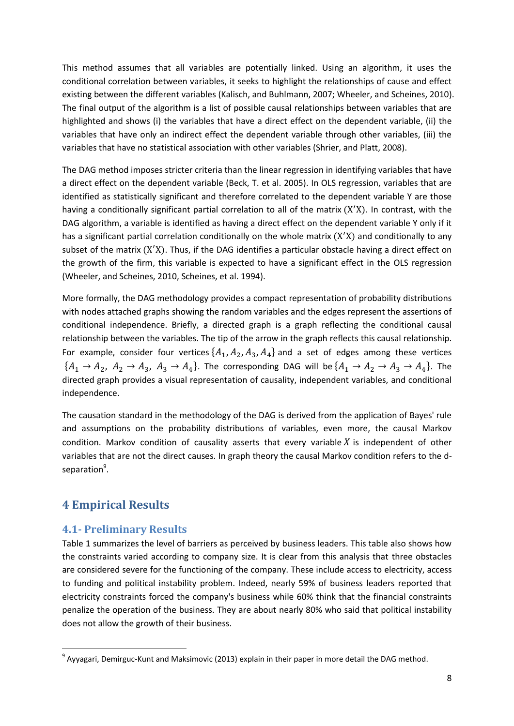This method assumes that all variables are potentially linked. Using an algorithm, it uses the conditional correlation between variables, it seeks to highlight the relationships of cause and effect existing between the different variables (Kalisch, and Buhlmann, 2007; Wheeler, and Scheines, 2010). The final output of the algorithm is a list of possible causal relationships between variables that are highlighted and shows (i) the variables that have a direct effect on the dependent variable, (ii) the variables that have only an indirect effect the dependent variable through other variables, (iii) the variables that have no statistical association with other variables (Shrier, and Platt, 2008).

The DAG method imposes stricter criteria than the linear regression in identifying variables that have a direct effect on the dependent variable (Beck, T. et al. 2005). In OLS regression, variables that are identified as statistically significant and therefore correlated to the dependent variable Y are those having a conditionally significant partial correlation to all of the matrix  $(X'X)$ . In contrast, with the DAG algorithm, a variable is identified as having a direct effect on the dependent variable Y only if it has a significant partial correlation conditionally on the whole matrix  $(X'X)$  and conditionally to any subset of the matrix  $(X'X)$ . Thus, if the DAG identifies a particular obstacle having a direct effect on the growth of the firm, this variable is expected to have a significant effect in the OLS regression (Wheeler, and Scheines, 2010, Scheines, et al. 1994).

More formally, the DAG methodology provides a compact representation of probability distributions with nodes attached graphs showing the random variables and the edges represent the assertions of conditional independence. Briefly, a directed graph is a graph reflecting the conditional causal relationship between the variables. The tip of the arrow in the graph reflects this causal relationship. For example, consider four vertices  $\{A_1, A_2, A_3, A_4\}$  and a set of edges among these vertices  $\{A_1 \rightarrow A_2, A_2 \rightarrow A_3, A_3 \rightarrow A_4\}$ . The corresponding DAG will be  $\{A_1 \rightarrow A_2 \rightarrow A_3 \rightarrow A_4\}$ . The directed graph provides a visual representation of causality, independent variables, and conditional independence.

The causation standard in the methodology of the DAG is derived from the application of Bayes' rule and assumptions on the probability distributions of variables, even more, the causal Markov condition. Markov condition of causality asserts that every variable  $X$  is independent of other variables that are not the direct causes. In graph theory the causal Markov condition refers to the dseparation<sup>9</sup>.

## **4 Empirical Results**

-

#### **4.1- Preliminary Results**

Table 1 summarizes the level of barriers as perceived by business leaders. This table also shows how the constraints varied according to company size. It is clear from this analysis that three obstacles are considered severe for the functioning of the company. These include access to electricity, access to funding and political instability problem. Indeed, nearly 59% of business leaders reported that electricity constraints forced the company's business while 60% think that the financial constraints penalize the operation of the business. They are about nearly 80% who said that political instability does not allow the growth of their business.

 $^9$  Ayyagari, Demirguc-Kunt and Maksimovic (2013) explain in their paper in more detail the DAG method.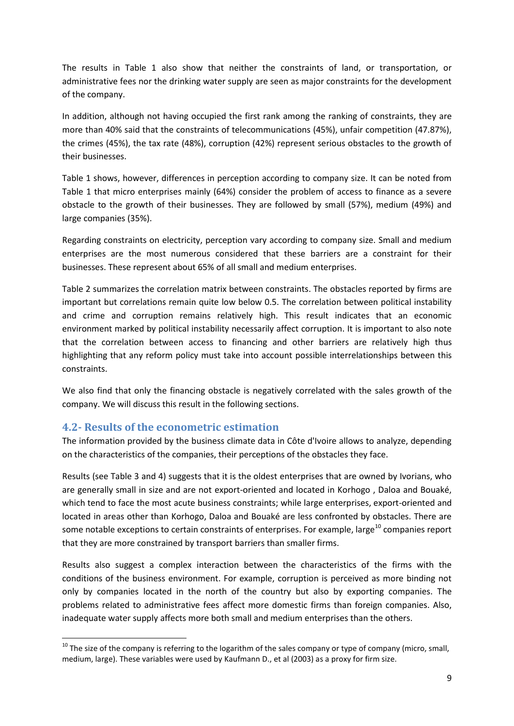The results in Table 1 also show that neither the constraints of land, or transportation, or administrative fees nor the drinking water supply are seen as major constraints for the development of the company.

In addition, although not having occupied the first rank among the ranking of constraints, they are more than 40% said that the constraints of telecommunications (45%), unfair competition (47.87%), the crimes (45%), the tax rate (48%), corruption (42%) represent serious obstacles to the growth of their businesses.

Table 1 shows, however, differences in perception according to company size. It can be noted from Table 1 that micro enterprises mainly (64%) consider the problem of access to finance as a severe obstacle to the growth of their businesses. They are followed by small (57%), medium (49%) and large companies (35%).

Regarding constraints on electricity, perception vary according to company size. Small and medium enterprises are the most numerous considered that these barriers are a constraint for their businesses. These represent about 65% of all small and medium enterprises.

Table 2 summarizes the correlation matrix between constraints. The obstacles reported by firms are important but correlations remain quite low below 0.5. The correlation between political instability and crime and corruption remains relatively high. This result indicates that an economic environment marked by political instability necessarily affect corruption. It is important to also note that the correlation between access to financing and other barriers are relatively high thus highlighting that any reform policy must take into account possible interrelationships between this constraints.

We also find that only the financing obstacle is negatively correlated with the sales growth of the company. We will discuss this result in the following sections.

#### **4.2- Results of the econometric estimation**

<u>.</u>

The information provided by the business climate data in Côte d'Ivoire allows to analyze, depending on the characteristics of the companies, their perceptions of the obstacles they face.

Results (see Table 3 and 4) suggests that it is the oldest enterprises that are owned by Ivorians, who are generally small in size and are not export-oriented and located in Korhogo , Daloa and Bouaké, which tend to face the most acute business constraints; while large enterprises, export-oriented and located in areas other than Korhogo, Daloa and Bouaké are less confronted by obstacles. There are some notable exceptions to certain constraints of enterprises. For example, large<sup>10</sup> companies report that they are more constrained by transport barriers than smaller firms.

Results also suggest a complex interaction between the characteristics of the firms with the conditions of the business environment. For example, corruption is perceived as more binding not only by companies located in the north of the country but also by exporting companies. The problems related to administrative fees affect more domestic firms than foreign companies. Also, inadequate water supply affects more both small and medium enterprises than the others.

 $10$  The size of the company is referring to the logarithm of the sales company or type of company (micro, small, medium, large). These variables were used by Kaufmann D., et al (2003) as a proxy for firm size.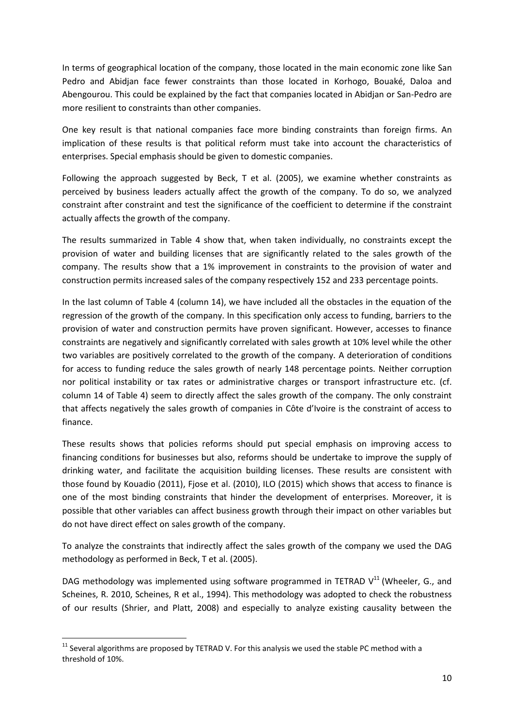In terms of geographical location of the company, those located in the main economic zone like San Pedro and Abidjan face fewer constraints than those located in Korhogo, Bouaké, Daloa and Abengourou. This could be explained by the fact that companies located in Abidjan or San-Pedro are more resilient to constraints than other companies.

One key result is that national companies face more binding constraints than foreign firms. An implication of these results is that political reform must take into account the characteristics of enterprises. Special emphasis should be given to domestic companies.

Following the approach suggested by Beck, T et al. (2005), we examine whether constraints as perceived by business leaders actually affect the growth of the company. To do so, we analyzed constraint after constraint and test the significance of the coefficient to determine if the constraint actually affects the growth of the company.

The results summarized in Table 4 show that, when taken individually, no constraints except the provision of water and building licenses that are significantly related to the sales growth of the company. The results show that a 1% improvement in constraints to the provision of water and construction permits increased sales of the company respectively 152 and 233 percentage points.

In the last column of Table 4 (column 14), we have included all the obstacles in the equation of the regression of the growth of the company. In this specification only access to funding, barriers to the provision of water and construction permits have proven significant. However, accesses to finance constraints are negatively and significantly correlated with sales growth at 10% level while the other two variables are positively correlated to the growth of the company. A deterioration of conditions for access to funding reduce the sales growth of nearly 148 percentage points. Neither corruption nor political instability or tax rates or administrative charges or transport infrastructure etc. (cf. column 14 of Table 4) seem to directly affect the sales growth of the company. The only constraint that affects negatively the sales growth of companies in Côte d'Ivoire is the constraint of access to finance.

These results shows that policies reforms should put special emphasis on improving access to financing conditions for businesses but also, reforms should be undertake to improve the supply of drinking water, and facilitate the acquisition building licenses. These results are consistent with those found by Kouadio (2011), Fjose et al. (2010), ILO (2015) which shows that access to finance is one of the most binding constraints that hinder the development of enterprises. Moreover, it is possible that other variables can affect business growth through their impact on other variables but do not have direct effect on sales growth of the company.

To analyze the constraints that indirectly affect the sales growth of the company we used the DAG methodology as performed in Beck, T et al. (2005).

DAG methodology was implemented using software programmed in TETRAD  $V^{11}$  (Wheeler, G., and Scheines, R. 2010, Scheines, R et al., 1994). This methodology was adopted to check the robustness of our results (Shrier, and Platt, 2008) and especially to analyze existing causality between the

<u>.</u>

 $11$  Several algorithms are proposed by TETRAD V. For this analysis we used the stable PC method with a threshold of 10%.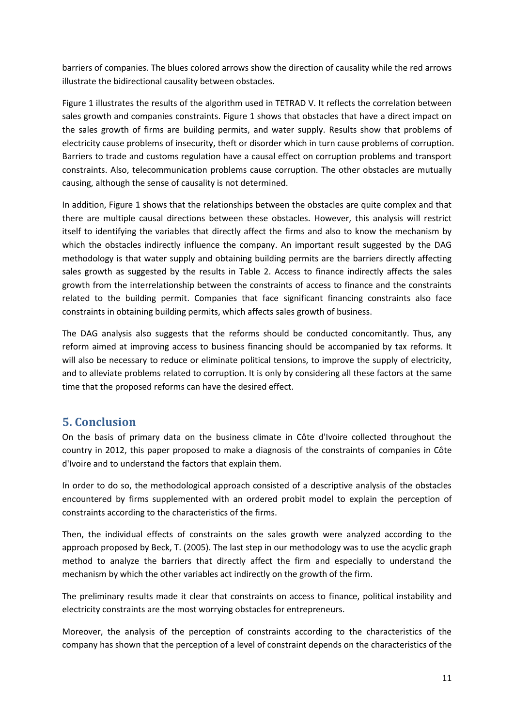barriers of companies. The blues colored arrows show the direction of causality while the red arrows illustrate the bidirectional causality between obstacles.

Figure 1 illustrates the results of the algorithm used in TETRAD V. It reflects the correlation between sales growth and companies constraints. Figure 1 shows that obstacles that have a direct impact on the sales growth of firms are building permits, and water supply. Results show that problems of electricity cause problems of insecurity, theft or disorder which in turn cause problems of corruption. Barriers to trade and customs regulation have a causal effect on corruption problems and transport constraints. Also, telecommunication problems cause corruption. The other obstacles are mutually causing, although the sense of causality is not determined.

In addition, Figure 1 shows that the relationships between the obstacles are quite complex and that there are multiple causal directions between these obstacles. However, this analysis will restrict itself to identifying the variables that directly affect the firms and also to know the mechanism by which the obstacles indirectly influence the company. An important result suggested by the DAG methodology is that water supply and obtaining building permits are the barriers directly affecting sales growth as suggested by the results in Table 2. Access to finance indirectly affects the sales growth from the interrelationship between the constraints of access to finance and the constraints related to the building permit. Companies that face significant financing constraints also face constraints in obtaining building permits, which affects sales growth of business.

The DAG analysis also suggests that the reforms should be conducted concomitantly. Thus, any reform aimed at improving access to business financing should be accompanied by tax reforms. It will also be necessary to reduce or eliminate political tensions, to improve the supply of electricity, and to alleviate problems related to corruption. It is only by considering all these factors at the same time that the proposed reforms can have the desired effect.

# **5. Conclusion**

On the basis of primary data on the business climate in Côte d'Ivoire collected throughout the country in 2012, this paper proposed to make a diagnosis of the constraints of companies in Côte d'Ivoire and to understand the factors that explain them.

In order to do so, the methodological approach consisted of a descriptive analysis of the obstacles encountered by firms supplemented with an ordered probit model to explain the perception of constraints according to the characteristics of the firms.

Then, the individual effects of constraints on the sales growth were analyzed according to the approach proposed by Beck, T. (2005). The last step in our methodology was to use the acyclic graph method to analyze the barriers that directly affect the firm and especially to understand the mechanism by which the other variables act indirectly on the growth of the firm.

The preliminary results made it clear that constraints on access to finance, political instability and electricity constraints are the most worrying obstacles for entrepreneurs.

Moreover, the analysis of the perception of constraints according to the characteristics of the company has shown that the perception of a level of constraint depends on the characteristics of the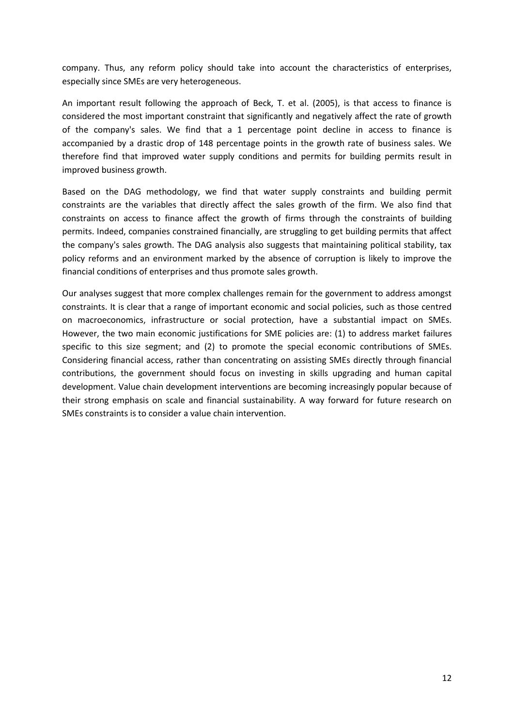company. Thus, any reform policy should take into account the characteristics of enterprises, especially since SMEs are very heterogeneous.

An important result following the approach of Beck, T. et al. (2005), is that access to finance is considered the most important constraint that significantly and negatively affect the rate of growth of the company's sales. We find that a 1 percentage point decline in access to finance is accompanied by a drastic drop of 148 percentage points in the growth rate of business sales. We therefore find that improved water supply conditions and permits for building permits result in improved business growth.

Based on the DAG methodology, we find that water supply constraints and building permit constraints are the variables that directly affect the sales growth of the firm. We also find that constraints on access to finance affect the growth of firms through the constraints of building permits. Indeed, companies constrained financially, are struggling to get building permits that affect the company's sales growth. The DAG analysis also suggests that maintaining political stability, tax policy reforms and an environment marked by the absence of corruption is likely to improve the financial conditions of enterprises and thus promote sales growth.

Our analyses suggest that more complex challenges remain for the government to address amongst constraints. It is clear that a range of important economic and social policies, such as those centred on macroeconomics, infrastructure or social protection, have a substantial impact on SMEs. However, the two main economic justifications for SME policies are: (1) to address market failures specific to this size segment; and (2) to promote the special economic contributions of SMEs. Considering financial access, rather than concentrating on assisting SMEs directly through financial contributions, the government should focus on investing in skills upgrading and human capital development. Value chain development interventions are becoming increasingly popular because of their strong emphasis on scale and financial sustainability. A way forward for future research on SMEs constraints is to consider a value chain intervention.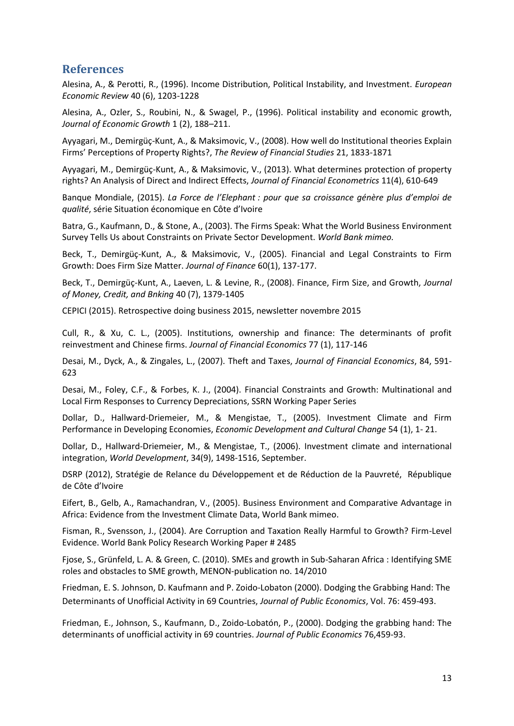## **References**

Alesina, A., & Perotti, R., (1996). Income Distribution, Political Instability, and Investment. *European Economic Review* 40 (6), 1203-1228

Alesina, A., Ozler, S., Roubini, N., & Swagel, P., (1996). Political instability and economic growth, *Journal of Economic Growth* 1 (2), 188–211.

Ayyagari, M., Demirgüç-Kunt, A., & Maksimovic, V., (2008). How well do Institutional theories Explain Firms' Perceptions of Property Rights?, *The Review of Financial Studies* 21, 1833-1871

Ayyagari, M., Demirgüç-Kunt, A., & Maksimovic, V., (2013). What determines protection of property rights? An Analysis of Direct and Indirect Effects, *Journal of Financial Econometrics* 11(4), 610-649

Banque Mondiale, (2015). *La Force de l'Elephant : pour que sa croissance génère plus d'emploi de qualité*, série Situation économique en Côte d'Ivoire

Batra, G., Kaufmann, D., & Stone, A., (2003). The Firms Speak: What the World Business Environment Survey Tells Us about Constraints on Private Sector Development. *World Bank mimeo.*

Beck, T., Demirgüç-Kunt, A., & Maksimovic, V., (2005). Financial and Legal Constraints to Firm Growth: Does Firm Size Matter. *Journal of Finance* 60(1), 137-177.

Beck, T., Demirgüç-Kunt, A., Laeven, L. & Levine, R., (2008). Finance, Firm Size, and Growth, *Journal of Money, Credit, and Bnking* 40 (7), 1379-1405

CEPICI (2015). Retrospective doing business 2015, newsletter novembre 2015

Cull, R., & Xu, C. L., (2005). Institutions, ownership and finance: The determinants of profit reinvestment and Chinese firms. *Journal of Financial Economics* 77 (1), 117-146

Desai, M., Dyck, A., & Zingales, L., (2007). Theft and Taxes, *Journal of Financial Economics*, 84, 591- 623

Desai, M., Foley, C.F., & Forbes, K. J., (2004). Financial Constraints and Growth: Multinational and Local Firm Responses to Currency Depreciations, SSRN Working Paper Series

Dollar, D., Hallward-Driemeier, M., & Mengistae, T., (2005). Investment Climate and Firm Performance in Developing Economies, *Economic Development and Cultural Change* 54 (1), 1- 21.

Dollar, D., Hallward-Driemeier, M., & Mengistae, T., (2006). [Investment climate and international](https://ideas.repec.org/a/eee/wdevel/v34y2006i9p1498-1516.html)  [integration,](https://ideas.repec.org/a/eee/wdevel/v34y2006i9p1498-1516.html) *[World Development](https://ideas.repec.org/s/eee/wdevel.html)*, 34(9), 1498-1516, September.

DSRP (2012), Stratégie de Relance du Développement et de Réduction de la Pauvreté, République de Côte d'Ivoire

Eifert, B., Gelb, A., Ramachandran, V., (2005). Business Environment and Comparative Advantage in Africa: Evidence from the Investment Climate Data, World Bank mimeo.

Fisman, R., Svensson, J., (2004). Are Corruption and Taxation Really Harmful to Growth? Firm-Level Evidence. World Bank Policy Research Working Paper # 2485

Fjose, S., Grünfeld, L. A. & Green, C. (2010). SMEs and growth in Sub-Saharan Africa : Identifying SME roles and obstacles to SME growth, MENON-publication no. 14/2010

Friedman, E. S. Johnson, D. Kaufmann and P. Zoido-Lobaton (2000). Dodging the Grabbing Hand: The Determinants of Unofficial Activity in 69 Countries, *Journal of Public Economics*, Vol. 76: 459-493.

Friedman, E., Johnson, S., Kaufmann, D., Zoido-Lobatón, P., (2000). Dodging the grabbing hand: The determinants of unofficial activity in 69 countries. *Journal of Public Economics* 76,459-93.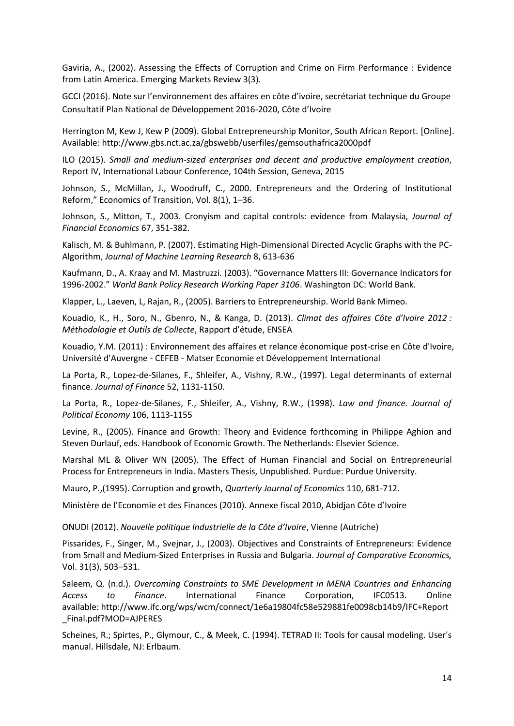Gaviria, A., (2002). Assessing the Effects of Corruption and Crime on Firm Performance : Evidence from Latin America. Emerging Markets Review 3(3).

GCCI (2016). Note sur l'environnement des affaires en côte d'ivoire, secrétariat technique du Groupe Consultatif Plan National de Développement 2016-2020, Côte d'Ivoire

Herrington M, Kew J, Kew P (2009). Global Entrepreneurship Monitor, South African Report. [Online]. Available: http://www.gbs.nct.ac.za/gbswebb/userfiles/gemsouthafrica2000pdf

ILO (2015). *Small and medium-sized enterprises and decent and productive employment creation*, Report IV, International Labour Conference, 104th Session, Geneva, 2015

Johnson, S., McMillan, J., Woodruff, C., 2000. Entrepreneurs and the Ordering of Institutional Reform," Economics of Transition, Vol. 8(1), 1–36.

Johnson, S., Mitton, T., 2003. Cronyism and capital controls: evidence from Malaysia, *Journal of Financial Economics* 67, 351-382.

Kalisch, M. & Buhlmann, P. (2007). Estimating High-Dimensional Directed Acyclic Graphs with the PC-Algorithm, *Journal of Machine Learning Research* 8, 613-636

Kaufmann, D., A. Kraay and M. Mastruzzi. (2003). "Governance Matters III: Governance Indicators for 1996-2002." *World Bank Policy Research Working Paper 3106*. Washington DC: World Bank.

Klapper, L., Laeven, L, Rajan, R., (2005). Barriers to Entrepreneurship. World Bank Mimeo.

Kouadio, K., H., Soro, N., Gbenro, N., & Kanga, D. (2013). *Climat des affaires Côte d'Ivoire 2012 : Méthodologie et Outils de Collecte*, Rapport d'étude, ENSEA

Kouadio, Y.M. (2011) : Environnement des affaires et relance économique post-crise en Côte d'Ivoire, Université d'Auvergne - CEFEB - Matser Economie et Développement International

La Porta, R., Lopez-de-Silanes, F., Shleifer, A., Vishny, R.W., (1997). Legal determinants of external finance. *Journal of Finance* 52, 1131-1150.

La Porta, R., Lopez-de-Silanes, F., Shleifer, A., Vishny, R.W., (1998). *Law and finance. Journal of Political Economy* 106, 1113-1155

Levine, R., (2005). Finance and Growth: Theory and Evidence forthcoming in Philippe Aghion and Steven Durlauf, eds. Handbook of Economic Growth. The Netherlands: Elsevier Science.

Marshal ML & Oliver WN (2005). The Effect of Human Financial and Social on Entrepreneurial Process for Entrepreneurs in India. Masters Thesis, Unpublished. Purdue: Purdue University.

Mauro, P.,(1995). Corruption and growth, *Quarterly Journal of Economics* 110, 681-712.

Ministère de l'Economie et des Finances (2010). Annexe fiscal 2010, Abidjan Côte d'Ivoire

ONUDI (2012). *Nouvelle politique Industrielle de la Côte d'Ivoire*, Vienne (Autriche)

Pissarides, F., Singer, M., Svejnar, J., (2003). Objectives and Constraints of Entrepreneurs: Evidence from Small and Medium-Sized Enterprises in Russia and Bulgaria. *Journal of Comparative Economics,* Vol. 31(3), 503–531.

Saleem, Q. (n.d.). *Overcoming Constraints to SME Development in MENA Countries and Enhancing Access to Finance*. International Finance Corporation, IFC0513. Online available: [http://www.ifc.org/wps/wcm/connect/1e6a19804fc58e529881fe0098cb14b9/IFC+Report](http://www.ifc.org/wps/wcm/connect/1e6a19804fc58e529881fe0098cb14b9/IFC+Report_Final.pdf?MOD=AJPERES) [\\_Final.pdf?MOD=AJPERES](http://www.ifc.org/wps/wcm/connect/1e6a19804fc58e529881fe0098cb14b9/IFC+Report_Final.pdf?MOD=AJPERES) 

Scheines, R.; Spirtes, P., Glymour, C., & Meek, C. (1994). TETRAD II: Tools for causal modeling. User's manual. Hillsdale, NJ: Erlbaum.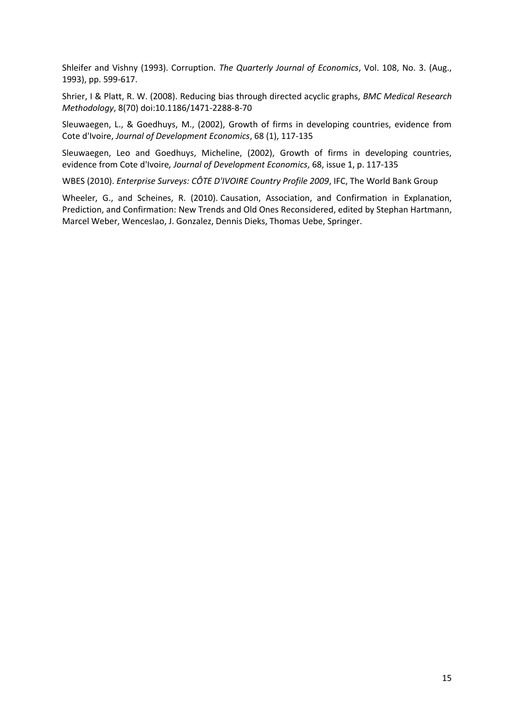Shleifer and Vishny (1993). Corruption. *The Quarterly Journal of Economics*, Vol. 108, No. 3. (Aug., 1993), pp. 599-617.

Shrier, I & Platt, R. W. (2008). Reducing bias through directed acyclic graphs, *BMC Medical Research Methodology*, 8(70) doi:10.1186/1471-2288-8-70

Sleuwaegen, L., & Goedhuys, M., (2002), Growth of firms in developing countries, evidence from Cote d'Ivoire, *Journal of Development Economics*, 68 (1), 117-135

Sleuwaegen, Leo and Goedhuys, Micheline, (2002), Growth of firms in developing countries, evidence from Cote d'Ivoire*, Journal of Development Economics*, 68, issue 1, p. 117-135

WBES (2010). *Enterprise Surveys: CÔTE D'IVOIRE Country Profile 2009*, IFC, The World Bank Group

Wheeler, G., and Scheines, R. (2010). [Causation, Association, and Confirmation in Explanation,](http://www.hss.cmu.edu/philosophy/scheines/CAC.pdf)  [Prediction, and Confirmation: New Trends and Old Ones Reconsidered,](http://www.hss.cmu.edu/philosophy/scheines/CAC.pdf) edited by Stephan Hartmann, Marcel Weber, Wenceslao, J. Gonzalez, Dennis Dieks, Thomas Uebe, Springer.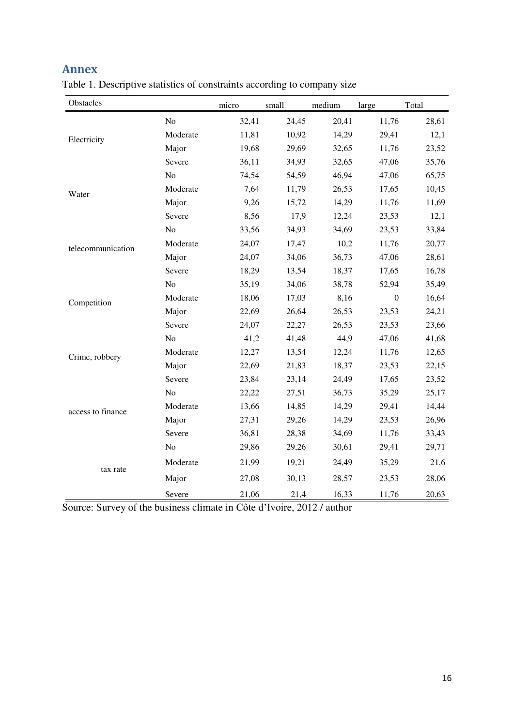# **Annex**

| Table 1. Descriptive statistics of constraints according to company size |  |
|--------------------------------------------------------------------------|--|
|--------------------------------------------------------------------------|--|

| Obstacles         |                | micro | small | medium | large            | Total |
|-------------------|----------------|-------|-------|--------|------------------|-------|
|                   | No             | 32,41 | 24,45 | 20,41  | 11,76            | 28,61 |
| Electricity       | Moderate       | 11,81 | 10,92 | 14,29  | 29,41            | 12,1  |
|                   | Major          | 19,68 | 29,69 | 32,65  | 11,76            | 23,52 |
|                   | Severe         | 36,11 | 34,93 | 32,65  | 47,06            | 35,76 |
|                   | N <sub>o</sub> | 74,54 | 54,59 | 46,94  | 47,06            | 65,75 |
| Water             | Moderate       | 7,64  | 11,79 | 26,53  | 17,65            | 10,45 |
|                   | Major          | 9,26  | 15,72 | 14,29  | 11,76            | 11,69 |
|                   | Severe         | 8,56  | 17,9  | 12,24  | 23,53            | 12,1  |
|                   | N <sub>o</sub> | 33,56 | 34,93 | 34,69  | 23,53            | 33,84 |
| telecommunication | Moderate       | 24,07 | 17,47 | 10,2   | 11,76            | 20,77 |
|                   | Major          | 24,07 | 34,06 | 36,73  | 47,06            | 28,61 |
|                   | Severe         | 18,29 | 13,54 | 18,37  | 17,65            | 16,78 |
|                   | N <sub>o</sub> | 35,19 | 34,06 | 38,78  | 52,94            | 35,49 |
| Competition       | Moderate       | 18,06 | 17,03 | 8,16   | $\boldsymbol{0}$ | 16,64 |
|                   | Major          | 22,69 | 26,64 | 26,53  | 23,53            | 24,21 |
|                   | Severe         | 24,07 | 22,27 | 26,53  | 23,53            | 23,66 |
|                   | N <sub>o</sub> | 41,2  | 41,48 | 44,9   | 47,06            | 41,68 |
| Crime, robbery    | Moderate       | 12,27 | 13,54 | 12,24  | 11,76            | 12,65 |
|                   | Major          | 22,69 | 21,83 | 18,37  | 23,53            | 22,15 |
|                   | Severe         | 23,84 | 23,14 | 24,49  | 17,65            | 23,52 |
|                   | N <sub>o</sub> | 22,22 | 27,51 | 36,73  | 35,29            | 25,17 |
| access to finance | Moderate       | 13,66 | 14,85 | 14,29  | 29,41            | 14,44 |
|                   | Major          | 27,31 | 29,26 | 14,29  | 23,53            | 26,96 |
|                   | Severe         | 36,81 | 28,38 | 34,69  | 11,76            | 33,43 |
|                   | N <sub>o</sub> | 29,86 | 29,26 | 30,61  | 29,41            | 29,71 |
| tax rate          | Moderate       | 21,99 | 19,21 | 24,49  | 35,29            | 21,6  |
|                   | Major          | 27,08 | 30,13 | 28,57  | 23,53            | 28,06 |
|                   | Severe         | 21,06 | 21,4  | 16,33  | 11,76            | 20,63 |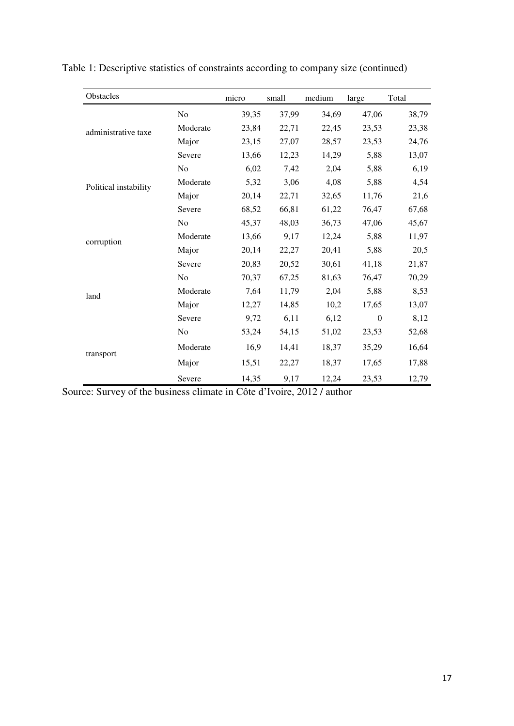| Obstacles             |                | micro | small | medium | large            | Total |
|-----------------------|----------------|-------|-------|--------|------------------|-------|
|                       | No             | 39,35 | 37,99 | 34,69  | 47,06            | 38,79 |
| administrative taxe   | Moderate       | 23,84 | 22,71 | 22,45  | 23,53            | 23,38 |
|                       | Major          | 23,15 | 27,07 | 28,57  | 23,53            | 24,76 |
|                       | Severe         | 13,66 | 12,23 | 14,29  | 5,88             | 13,07 |
|                       | N <sub>0</sub> | 6,02  | 7,42  | 2,04   | 5,88             | 6,19  |
| Political instability | Moderate       | 5,32  | 3,06  | 4,08   | 5,88             | 4,54  |
|                       | Major          | 20,14 | 22,71 | 32,65  | 11,76            | 21,6  |
|                       | Severe         | 68,52 | 66,81 | 61,22  | 76,47            | 67,68 |
|                       | N <sub>0</sub> | 45,37 | 48,03 | 36,73  | 47,06            | 45,67 |
| corruption            | Moderate       | 13,66 | 9,17  | 12,24  | 5,88             | 11,97 |
|                       | Major          | 20,14 | 22,27 | 20,41  | 5,88             | 20,5  |
|                       | Severe         | 20,83 | 20,52 | 30,61  | 41,18            | 21,87 |
|                       | N <sub>o</sub> | 70,37 | 67,25 | 81,63  | 76,47            | 70,29 |
| land                  | Moderate       | 7,64  | 11,79 | 2,04   | 5,88             | 8,53  |
|                       | Major          | 12,27 | 14,85 | 10,2   | 17,65            | 13,07 |
|                       | Severe         | 9,72  | 6,11  | 6,12   | $\boldsymbol{0}$ | 8,12  |
|                       | No             | 53,24 | 54,15 | 51,02  | 23,53            | 52,68 |
| transport             | Moderate       | 16,9  | 14,41 | 18,37  | 35,29            | 16,64 |
|                       | Major          | 15,51 | 22,27 | 18,37  | 17,65            | 17,88 |
|                       | Severe         | 14,35 | 9,17  | 12,24  | 23,53            | 12,79 |

| Table 1: Descriptive statistics of constraints according to company size (continued) |  |
|--------------------------------------------------------------------------------------|--|
|--------------------------------------------------------------------------------------|--|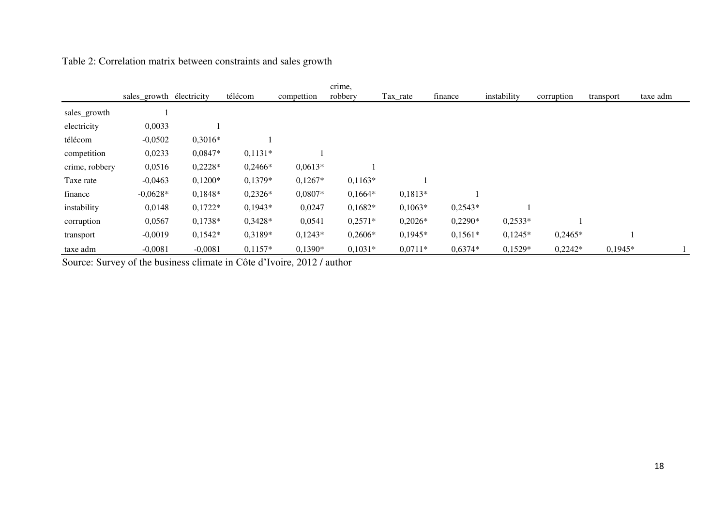|                | sales_growth électricity |           | télécom   | compettion | crime,<br>robbery | Tax_rate  | finance   | instability | corruption | transport | taxe adm |
|----------------|--------------------------|-----------|-----------|------------|-------------------|-----------|-----------|-------------|------------|-----------|----------|
| sales_growth   |                          |           |           |            |                   |           |           |             |            |           |          |
| electricity    | 0,0033                   |           |           |            |                   |           |           |             |            |           |          |
| télécom        | $-0,0502$                | $0,3016*$ |           |            |                   |           |           |             |            |           |          |
| competition    | 0,0233                   | 0,0847*   | $0,1131*$ |            |                   |           |           |             |            |           |          |
| crime, robbery | 0,0516                   | $0,2228*$ | $0,2466*$ | $0,0613*$  |                   |           |           |             |            |           |          |
| Taxe rate      | $-0,0463$                | $0,1200*$ | $0,1379*$ | $0,1267*$  | $0,1163*$         |           |           |             |            |           |          |
| finance        | $-0,0628*$               | 0,1848*   | $0,2326*$ | $0,0807*$  | $0,1664*$         | $0,1813*$ |           |             |            |           |          |
| instability    | 0,0148                   | $0,1722*$ | $0,1943*$ | 0,0247     | $0,1682*$         | $0,1063*$ | $0,2543*$ |             |            |           |          |
| corruption     | 0,0567                   | $0,1738*$ | $0,3428*$ | 0,0541     | $0,2571*$         | $0,2026*$ | $0,2290*$ | $0,2533*$   |            |           |          |
| transport      | $-0,0019$                | $0,1542*$ | 0,3189*   | $0,1243*$  | $0,2606*$         | $0,1945*$ | $0,1561*$ | $0,1245*$   | $0,2465*$  |           |          |
| taxe adm       | $-0,0081$                | $-0,0081$ | $0,1157*$ | $0,1390*$  | $0,1031*$         | $0,0711*$ | $0,6374*$ | $0,1529*$   | $0,2242*$  | $0,1945*$ |          |

# Table 2: Correlation matrix between constraints and sales growth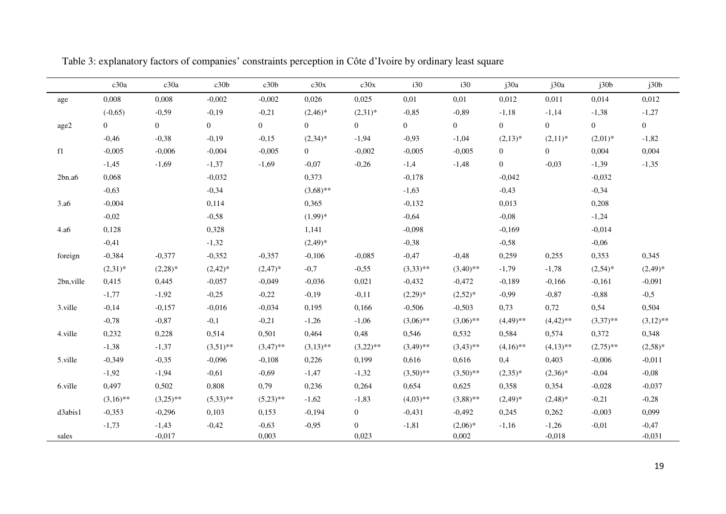|                  | c30a        | c30a           | c30b           | c30b           | c30x           | c30x           | i30            | i30            | j30a           | j30a           | j30b           | j30b           |
|------------------|-------------|----------------|----------------|----------------|----------------|----------------|----------------|----------------|----------------|----------------|----------------|----------------|
| age              | 0,008       | 0,008          | $-0,002$       | $-0,002$       | 0,026          | 0,025          | 0,01           | 0,01           | 0,012          | 0,011          | 0,014          | 0,012          |
|                  | $(-0,65)$   | $-0,59$        | $-0,19$        | $-0,21$        | $(2,46)^*$     | $(2,31)^*$     | $-0,85$        | $-0,89$        | $-1,18$        | $-1,14$        | $-1,38$        | $-1,27$        |
| age2             | $\Omega$    | $\overline{0}$ | $\overline{0}$ | $\overline{0}$ | $\overline{0}$ | $\Omega$       | $\overline{0}$ | $\overline{0}$ | $\overline{0}$ | $\overline{0}$ | $\overline{0}$ | $\overline{0}$ |
|                  | $-0,46$     | $-0,38$        | $-0,19$        | $-0,15$        | $(2,34)*$      | $-1,94$        | $-0,93$        | $-1,04$        | $(2,13)*$      | $(2,11)^*$     | $(2,01)^*$     | $-1,82$        |
| f1               | $-0,005$    | $-0,006$       | $-0,004$       | $-0,005$       | $\overline{0}$ | $-0,002$       | $-0,005$       | $-0,005$       | $\overline{0}$ | $\overline{0}$ | 0,004          | 0,004          |
|                  | $-1,45$     | $-1,69$        | $-1,37$        | $-1,69$        | $-0,07$        | $-0,26$        | $-1,4$         | $-1,48$        | $\overline{0}$ | $-0,03$        | $-1,39$        | $-1,35$        |
| 2bn.a6           | 0,068       |                | $-0,032$       |                | 0,373          |                | $-0,178$       |                | $-0,042$       |                | $-0,032$       |                |
|                  | $-0,63$     |                | $-0,34$        |                | $(3,68)$ **    |                | $-1,63$        |                | $-0,43$        |                | $-0,34$        |                |
| 3.a <sub>6</sub> | $-0,004$    |                | 0,114          |                | 0,365          |                | $-0,132$       |                | 0,013          |                | 0,208          |                |
|                  | $-0,02$     |                | $-0,58$        |                | $(1,99)^*$     |                | $-0,64$        |                | $-0,08$        |                | $-1,24$        |                |
| 4.a6             | 0,128       |                | 0,328          |                | 1,141          |                | $-0,098$       |                | $-0,169$       |                | $-0,014$       |                |
|                  | $-0,41$     |                | $-1,32$        |                | $(2,49)^*$     |                | $-0,38$        |                | $-0,58$        |                | $-0,06$        |                |
| foreign          | $-0,384$    | $-0,377$       | $-0,352$       | $-0,357$       | $-0,106$       | $-0,085$       | $-0,47$        | $-0,48$        | 0,259          | 0,255          | 0,353          | 0,345          |
|                  | $(2,31)^*$  | $(2,28)^*$     | $(2,42)^*$     | $(2,47)^*$     | $-0,7$         | $-0,55$        | $(3,33)$ **    | $(3,40)$ **    | $-1,79$        | $-1,78$        | $(2,54)^*$     | $(2,49)^*$     |
| 2bn, ville       | 0,415       | 0,445          | $-0,057$       | $-0,049$       | $-0,036$       | 0,021          | $-0,432$       | $-0,472$       | $-0,189$       | $-0,166$       | $-0,161$       | $-0,091$       |
|                  | $-1,77$     | $-1,92$        | $-0,25$        | $-0,22$        | $-0,19$        | $-0,11$        | $(2,29)^*$     | $(2,52)*$      | $-0,99$        | $-0,87$        | $-0,88$        | $-0,5$         |
| 3.ville          | $-0,14$     | $-0,157$       | $-0,016$       | $-0,034$       | 0,195          | 0,166          | $-0,506$       | $-0,503$       | 0,73           | 0,72           | 0,54           | 0,504          |
|                  | $-0,78$     | $-0,87$        | $-0,1$         | $-0,21$        | $-1,26$        | $-1,06$        | $(3,06)$ **    | $(3,06)$ **    | $(4,49)$ **    | $(4,42)$ **    | $(3,37)$ **    | $(3,12)$ **    |
| 4.ville          | 0,232       | 0,228          | 0,514          | 0,501          | 0,464          | 0,48           | 0,546          | 0,532          | 0,584          | 0,574          | 0,372          | 0,348          |
|                  | $-1,38$     | $-1,37$        | $(3,51)$ **    | $(3,47)$ **    | $(3,13)$ **    | $(3,22)$ **    | $(3,49)$ **    | $(3,43)$ **    | $(4,16)$ **    | $(4,13)$ **    | $(2,75)$ **    | $(2,58)^*$     |
| 5.ville          | $-0,349$    | $-0,35$        | $-0,096$       | $-0,108$       | 0,226          | 0,199          | 0,616          | 0,616          | 0,4            | 0,403          | $-0,006$       | $-0,011$       |
|                  | $-1,92$     | $-1,94$        | $-0,61$        | $-0,69$        | $-1,47$        | $-1,32$        | $(3,50)$ **    | $(3,50)$ **    | $(2,35)^*$     | $(2,36)^*$     | $-0,04$        | $-0,08$        |
| 6.ville          | 0,497       | 0,502          | 0,808          | 0,79           | 0,236          | 0,264          | 0,654          | 0,625          | 0,358          | 0,354          | $-0,028$       | $-0,037$       |
|                  | $(3,16)$ ** | $(3,25)$ **    | $(5,33)$ **    | $(5,23)$ **    | $-1,62$        | $-1,83$        | $(4,03)$ **    | $(3,88)$ **    | $(2,49)^*$     | $(2,48)*$      | $-0,21$        | $-0,28$        |
| d3abis1          | $-0,353$    | $-0,296$       | 0,103          | 0,153          | $-0,194$       | $\overline{0}$ | $-0,431$       | $-0,492$       | 0,245          | 0,262          | $-0,003$       | 0,099          |
|                  | $-1,73$     | $-1,43$        | $-0,42$        | $-0,63$        | $-0,95$        | $\overline{0}$ | $-1,81$        | $(2,06)*$      | $-1,16$        | $-1,26$        | $-0,01$        | $-0,47$        |
| sales            |             | $-0,017$       |                | 0,003          |                | 0,023          |                | 0,002          |                | $-0,018$       |                | $-0,031$       |

Table 3: explanatory factors of companies' constraints perception in Côte d'Ivoire by ordinary least square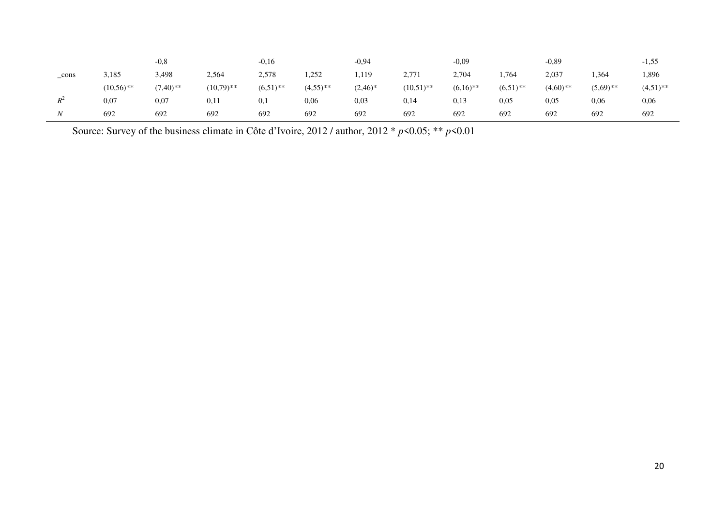|                  |              | $-0.8$      |              | $-0,16$     |             | $-0.94$    |              | $-0.09$     |             | $-0,89$    |             | $-1,55$     |
|------------------|--------------|-------------|--------------|-------------|-------------|------------|--------------|-------------|-------------|------------|-------------|-------------|
| _cons            | 3,185        | 3,498       | 2,564        | 2,578       | 1,252       | 1,119      | 2,771        | 2,704       | . .764      | 2,037      | 1,364       | 1,896       |
|                  | $(10.56)$ ** | $(7.40)$ ** | $(10,79)$ ** | $(6.51)$ ** | $(4,55)$ ** | $(2,46)^*$ | $(10,51)$ ** | $(6.16)$ ** | $(6.51)$ ** | $(4,60)**$ | $(5,69)$ ** | $(4,51)$ ** |
| $R^2$            | 0,07         | 0,07        | 0,11         | 0,1         | 0,06        | 0,03       | 0,14         | 0,13        | 0.05        | 0,05       | 0,06        | 0,06        |
| $\boldsymbol{N}$ | 692          | 692         | 692          | 692         | 692         | 692        | 692          | 692         | 692         | 692        | 692         | 692         |

Source: Survey of the business climate in Côte d'Ivoire, 2012 / author, 2012 \* *p*<0.05; \*\* *p*<0.01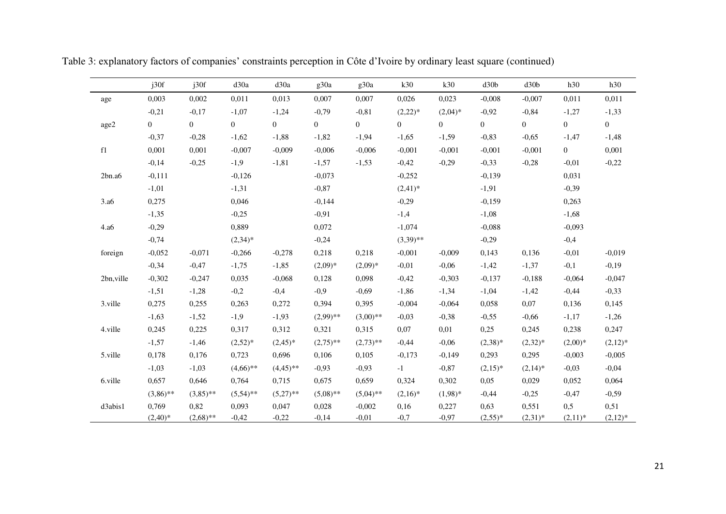|                  | j30f           | j30f         | d30a           | d30a           | g30a           | g30a           | k30              | k30            | d30 <sub>b</sub> | d30 <sub>b</sub> | h30              | h30              |
|------------------|----------------|--------------|----------------|----------------|----------------|----------------|------------------|----------------|------------------|------------------|------------------|------------------|
| age              | 0,003          | 0,002        | 0,011          | 0,013          | 0,007          | 0,007          | 0,026            | 0,023          | $-0,008$         | $-0,007$         | 0,011            | 0,011            |
|                  | $-0,21$        | $-0,17$      | $-1,07$        | $-1,24$        | $-0,79$        | $-0,81$        | $(2,22)*$        | $(2,04)^*$     | $-0,92$          | $-0,84$          | $-1,27$          | $-1,33$          |
| age2             | $\overline{0}$ | $\mathbf{0}$ | $\overline{0}$ | $\overline{0}$ | $\overline{0}$ | $\overline{0}$ | $\boldsymbol{0}$ | $\overline{0}$ | $\overline{0}$   | $\overline{0}$   | $\boldsymbol{0}$ | $\boldsymbol{0}$ |
|                  | $-0,37$        | $-0,28$      | $-1,62$        | $-1,88$        | $-1,82$        | $-1,94$        | $-1,65$          | $-1,59$        | $-0,83$          | $-0,65$          | $-1,47$          | $-1,48$          |
| f1               | 0,001          | 0,001        | $-0,007$       | $-0,009$       | $-0,006$       | $-0,006$       | $-0,001$         | $-0,001$       | $-0,001$         | $-0,001$         | $\overline{0}$   | 0,001            |
|                  | $-0,14$        | $-0,25$      | $-1,9$         | $-1,81$        | $-1,57$        | $-1,53$        | $-0,42$          | $-0,29$        | $-0,33$          | $-0,28$          | $-0,01$          | $-0,22$          |
| 2bn.a6           | $-0,111$       |              | $-0,126$       |                | $-0,073$       |                | $-0,252$         |                | $-0,139$         |                  | 0,031            |                  |
|                  | $-1,01$        |              | $-1,31$        |                | $-0,87$        |                | $(2,41)*$        |                | $-1,91$          |                  | $-0,39$          |                  |
| 3.a <sub>6</sub> | 0,275          |              | 0,046          |                | $-0,144$       |                | $-0,29$          |                | $-0,159$         |                  | 0,263            |                  |
|                  | $-1,35$        |              | $-0,25$        |                | $-0,91$        |                | $-1,4$           |                | $-1,08$          |                  | $-1,68$          |                  |
| 4.a6             | $-0,29$        |              | 0,889          |                | 0,072          |                | $-1,074$         |                | $-0,088$         |                  | $-0,093$         |                  |
|                  | $-0,74$        |              | $(2,34)*$      |                | $-0,24$        |                | $(3,39)$ **      |                | $-0,29$          |                  | $-0,4$           |                  |
| foreign          | $-0,052$       | $-0,071$     | $-0,266$       | $-0,278$       | 0,218          | 0,218          | $-0,001$         | $-0,009$       | 0,143            | 0,136            | $-0,01$          | $-0,019$         |
|                  | $-0,34$        | $-0,47$      | $-1,75$        | $-1,85$        | $(2,09)*$      | $(2,09)^*$     | $-0,01$          | $-0,06$        | $-1,42$          | $-1,37$          | $-0,1$           | $-0,19$          |
| 2bn, ville       | $-0,302$       | $-0,247$     | 0,035          | $-0,068$       | 0,128          | 0,098          | $-0,42$          | $-0,303$       | $-0,137$         | $-0,188$         | $-0,064$         | $-0,047$         |
|                  | $-1,51$        | $-1,28$      | $-0,2$         | $-0,4$         | $-0,9$         | $-0,69$        | $-1,86$          | $-1,34$        | $-1,04$          | $-1,42$          | $-0,44$          | $-0,33$          |
| 3.ville          | 0,275          | 0,255        | 0,263          | 0,272          | 0,394          | 0,395          | $-0,004$         | $-0,064$       | 0,058            | 0,07             | 0,136            | 0,145            |
|                  | $-1,63$        | $-1,52$      | $-1,9$         | $-1,93$        | $(2,99)$ **    | $(3,00)$ **    | $-0,03$          | $-0,38$        | $-0,55$          | $-0,66$          | $-1,17$          | $-1,26$          |
| 4.ville          | 0,245          | 0,225        | 0,317          | 0,312          | 0,321          | 0,315          | 0,07             | 0,01           | 0,25             | 0,245            | 0,238            | 0,247            |
|                  | $-1,57$        | $-1,46$      | $(2,52)*$      | $(2,45)^*$     | $(2,75)$ **    | $(2,73)$ **    | $-0,44$          | $-0,06$        | $(2,38)^*$       | $(2,32)*$        | $(2,00)*$        | $(2,12)^*$       |
| 5.ville          | 0,178          | 0,176        | 0,723          | 0,696          | 0,106          | 0,105          | $-0,173$         | $-0,149$       | 0,293            | 0,295            | $-0,003$         | $-0,005$         |
|                  | $-1,03$        | $-1,03$      | $(4,66)$ **    | $(4,45)$ **    | $-0,93$        | $-0,93$        | $-1$             | $-0,87$        | $(2,15)^*$       | $(2,14)^*$       | $-0,03$          | $-0,04$          |
| 6.ville          | 0,657          | 0,646        | 0,764          | 0,715          | 0,675          | 0,659          | 0,324            | 0,302          | 0,05             | 0,029            | 0,052            | 0,064            |
|                  | $(3,86)$ **    | $(3,85)$ **  | $(5,54)$ **    | $(5,27)$ **    | $(5,08)$ **    | $(5,04)$ **    | $(2,16)^*$       | $(1,98)^*$     | $-0,44$          | $-0,25$          | $-0,47$          | $-0,59$          |
| d3abis1          | 0,769          | 0,82         | 0,093          | 0,047          | 0,028          | $-0,002$       | 0,16             | 0,227          | 0,63             | 0,551            | 0,5              | 0,51             |
|                  | $(2,40)*$      | $(2,68)$ **  | $-0,42$        | $-0,22$        | $-0,14$        | $-0,01$        | $-0,7$           | $-0,97$        | $(2,55)^*$       | $(2,31)*$        | $(2,11)*$        | $(2,12)^*$       |

Table 3: explanatory factors of companies' constraints perception in Côte d'Ivoire by ordinary least square (continued)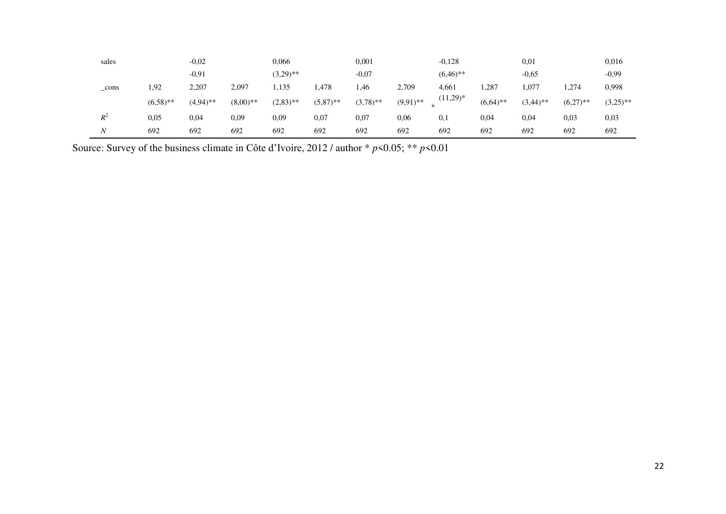| sales |             | $-0.02$     |            | 0,066       |             | 0,001       |             | $-0,128$         |             | 0,01        |             | 0,016       |
|-------|-------------|-------------|------------|-------------|-------------|-------------|-------------|------------------|-------------|-------------|-------------|-------------|
|       |             | $-0.91$     |            | $(3,29)$ ** |             | $-0.07$     |             | $(6,46)$ **      |             | $-0.65$     |             | $-0.99$     |
| cons  | 1,92        | 2,207       | 2,097      | .135        | 1,478       | .46         | 2,709       | 4,661            | 287.        | 1,077       | . 274       | 0,998       |
|       | $(6.58)$ ** | $(4,94)$ ** | $(8,00)**$ | $(2,83)$ ** | $(5,87)$ ** | $(3,78)$ ** | $(9,91)$ ** | $(11,29)^*$<br>* | $(6,64)$ ** | $(3,44)$ ** | $(6,27)$ ** | $(3,25)$ ** |
| $R^2$ | 0.05        | 0,04        | 0,09       | 0.09        | 0,07        | 0,07        | 0,06        | 0,1              | 0,04        | 0,04        | 0.03        | 0,03        |
| N     | 692         | 692         | 692        | 692         | 692         | 692         | 692         | 692              | 692         | 692         | 692         | 692         |

Source: Survey of the business climate in Côte d'Ivoire, 2012 / author \* *p*<0.05; \*\* *p*<0.01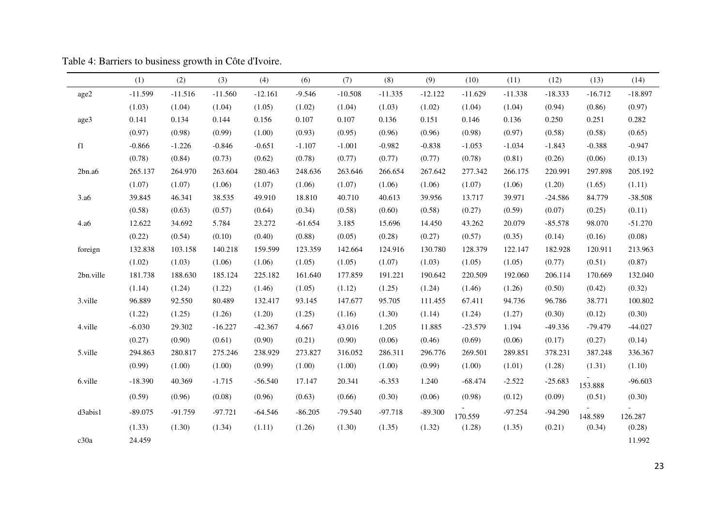|                  | (1)       | (2)       | (3)       | (4)       | (6)       | (7)       | (8)       | (9)       | (10)      | (11)      | (12)      | (13)      | (14)      |
|------------------|-----------|-----------|-----------|-----------|-----------|-----------|-----------|-----------|-----------|-----------|-----------|-----------|-----------|
| age2             | $-11.599$ | $-11.516$ | $-11.560$ | $-12.161$ | $-9.546$  | $-10.508$ | $-11.335$ | $-12.122$ | $-11.629$ | $-11.338$ | $-18.333$ | $-16.712$ | $-18.897$ |
|                  | (1.03)    | (1.04)    | (1.04)    | (1.05)    | (1.02)    | (1.04)    | (1.03)    | (1.02)    | (1.04)    | (1.04)    | (0.94)    | (0.86)    | (0.97)    |
| age3             | 0.141     | 0.134     | 0.144     | 0.156     | 0.107     | 0.107     | 0.136     | 0.151     | 0.146     | 0.136     | 0.250     | 0.251     | 0.282     |
|                  | (0.97)    | (0.98)    | (0.99)    | (1.00)    | (0.93)    | (0.95)    | (0.96)    | (0.96)    | (0.98)    | (0.97)    | (0.58)    | (0.58)    | (0.65)    |
| f1               | $-0.866$  | $-1.226$  | $-0.846$  | $-0.651$  | $-1.107$  | $-1.001$  | $-0.982$  | $-0.838$  | $-1.053$  | $-1.034$  | $-1.843$  | $-0.388$  | $-0.947$  |
|                  | (0.78)    | (0.84)    | (0.73)    | (0.62)    | (0.78)    | (0.77)    | (0.77)    | (0.77)    | (0.78)    | (0.81)    | (0.26)    | (0.06)    | (0.13)    |
| 2bn.a6           | 265.137   | 264.970   | 263.604   | 280.463   | 248.636   | 263.646   | 266.654   | 267.642   | 277.342   | 266.175   | 220.991   | 297.898   | 205.192   |
|                  | (1.07)    | (1.07)    | (1.06)    | (1.07)    | (1.06)    | (1.07)    | (1.06)    | (1.06)    | (1.07)    | (1.06)    | (1.20)    | (1.65)    | (1.11)    |
| 3.a <sub>6</sub> | 39.845    | 46.341    | 38.535    | 49.910    | 18.810    | 40.710    | 40.613    | 39.956    | 13.717    | 39.971    | $-24.586$ | 84.779    | $-38.508$ |
|                  | (0.58)    | (0.63)    | (0.57)    | (0.64)    | (0.34)    | (0.58)    | (0.60)    | (0.58)    | (0.27)    | (0.59)    | (0.07)    | (0.25)    | (0.11)    |
| 4.a6             | 12.622    | 34.692    | 5.784     | 23.272    | $-61.654$ | 3.185     | 15.696    | 14.450    | 43.262    | 20.079    | $-85.578$ | 98.070    | $-51.270$ |
|                  | (0.22)    | (0.54)    | (0.10)    | (0.40)    | (0.88)    | (0.05)    | (0.28)    | (0.27)    | (0.57)    | (0.35)    | (0.14)    | (0.16)    | (0.08)    |
| foreign          | 132.838   | 103.158   | 140.218   | 159.599   | 123.359   | 142.664   | 124.916   | 130.780   | 128.379   | 122.147   | 182.928   | 120.911   | 213.963   |
|                  | (1.02)    | (1.03)    | (1.06)    | (1.06)    | (1.05)    | (1.05)    | (1.07)    | (1.03)    | (1.05)    | (1.05)    | (0.77)    | (0.51)    | (0.87)    |
| 2bn.ville        | 181.738   | 188.630   | 185.124   | 225.182   | 161.640   | 177.859   | 191.221   | 190.642   | 220.509   | 192.060   | 206.114   | 170.669   | 132.040   |
|                  | (1.14)    | (1.24)    | (1.22)    | (1.46)    | (1.05)    | (1.12)    | (1.25)    | (1.24)    | (1.46)    | (1.26)    | (0.50)    | (0.42)    | (0.32)    |
| 3.ville          | 96.889    | 92.550    | 80.489    | 132.417   | 93.145    | 147.677   | 95.705    | 111.455   | 67.411    | 94.736    | 96.786    | 38.771    | 100.802   |
|                  | (1.22)    | (1.25)    | (1.26)    | (1.20)    | (1.25)    | (1.16)    | (1.30)    | (1.14)    | (1.24)    | (1.27)    | (0.30)    | (0.12)    | (0.30)    |
| 4.ville          | $-6.030$  | 29.302    | $-16.227$ | $-42.367$ | 4.667     | 43.016    | 1.205     | 11.885    | $-23.579$ | 1.194     | $-49.336$ | $-79.479$ | $-44.027$ |
|                  | (0.27)    | (0.90)    | (0.61)    | (0.90)    | (0.21)    | (0.90)    | (0.06)    | (0.46)    | (0.69)    | (0.06)    | (0.17)    | (0.27)    | (0.14)    |
| 5.ville          | 294.863   | 280.817   | 275.246   | 238.929   | 273.827   | 316.052   | 286.311   | 296.776   | 269.501   | 289.851   | 378.231   | 387.248   | 336.367   |
|                  | (0.99)    | (1.00)    | (1.00)    | (0.99)    | (1.00)    | (1.00)    | (1.00)    | (0.99)    | (1.00)    | (1.01)    | (1.28)    | (1.31)    | (1.10)    |
| 6.ville          | $-18.390$ | 40.369    | $-1.715$  | $-56.540$ | 17.147    | 20.341    | $-6.353$  | 1.240     | $-68.474$ | $-2.522$  | $-25.683$ | 153.888   | $-96.603$ |
|                  | (0.59)    | (0.96)    | (0.08)    | (0.96)    | (0.63)    | (0.66)    | (0.30)    | (0.06)    | (0.98)    | (0.12)    | (0.09)    | (0.51)    | (0.30)    |
| d3abis1          | $-89.075$ | $-91.759$ | $-97.721$ | $-64.546$ | $-86.205$ | $-79.540$ | $-97.718$ | $-89.300$ | 170.559   | $-97.254$ | $-94.290$ | 148.589   | 126.287   |
|                  | (1.33)    | (1.30)    | (1.34)    | (1.11)    | (1.26)    | (1.30)    | (1.35)    | (1.32)    | (1.28)    | (1.35)    | (0.21)    | (0.34)    | (0.28)    |
| c30a             | 24.459    |           |           |           |           |           |           |           |           |           |           |           | 11.992    |

Table 4: Barriers to business growth in Côte d'Ivoire.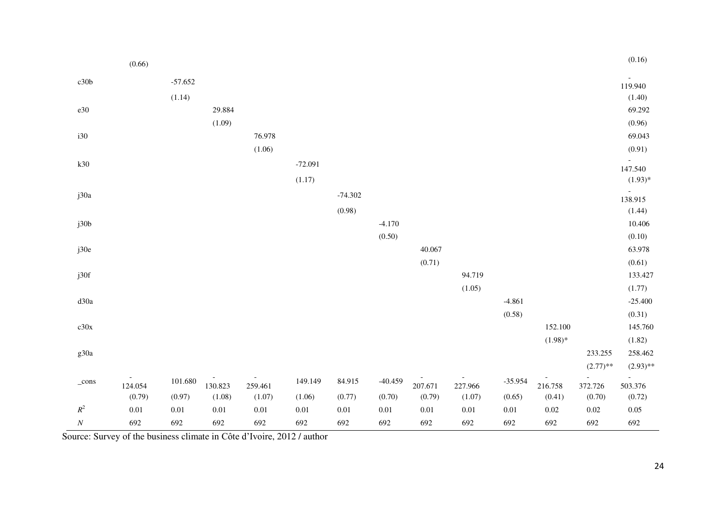|                | (0.66)            |           |                   |                   |           |           |           |                   |                   |           |                   |                   | (0.16)            |
|----------------|-------------------|-----------|-------------------|-------------------|-----------|-----------|-----------|-------------------|-------------------|-----------|-------------------|-------------------|-------------------|
| c30b           |                   | $-57.652$ |                   |                   |           |           |           |                   |                   |           |                   |                   | 119.940           |
|                |                   | (1.14)    |                   |                   |           |           |           |                   |                   |           |                   |                   | (1.40)            |
| $\rm e30$      |                   |           | 29.884            |                   |           |           |           |                   |                   |           |                   |                   | 69.292            |
|                |                   |           | (1.09)            |                   |           |           |           |                   |                   |           |                   |                   | (0.96)            |
| i30            |                   |           |                   | 76.978            |           |           |           |                   |                   |           |                   |                   | 69.043            |
|                |                   |           |                   | (1.06)            |           |           |           |                   |                   |           |                   |                   | (0.91)            |
|                |                   |           |                   |                   |           |           |           |                   |                   |           |                   |                   |                   |
| k30            |                   |           |                   |                   | $-72.091$ |           |           |                   |                   |           |                   |                   | 147.540           |
|                |                   |           |                   |                   | (1.17)    |           |           |                   |                   |           |                   |                   | $(1.93)*$         |
| j30a           |                   |           |                   |                   |           | $-74.302$ |           |                   |                   |           |                   |                   | 138.915           |
|                |                   |           |                   |                   |           | (0.98)    |           |                   |                   |           |                   |                   | (1.44)            |
| j30b           |                   |           |                   |                   |           |           | $-4.170$  |                   |                   |           |                   |                   | 10.406            |
|                |                   |           |                   |                   |           |           | (0.50)    |                   |                   |           |                   |                   | (0.10)            |
| j30e           |                   |           |                   |                   |           |           |           | 40.067            |                   |           |                   |                   | 63.978            |
|                |                   |           |                   |                   |           |           |           | (0.71)            |                   |           |                   |                   | (0.61)            |
| j30f           |                   |           |                   |                   |           |           |           |                   | 94.719            |           |                   |                   | 133.427           |
|                |                   |           |                   |                   |           |           |           |                   | (1.05)            |           |                   |                   | (1.77)            |
| d30a           |                   |           |                   |                   |           |           |           |                   |                   | $-4.861$  |                   |                   | $-25.400$         |
|                |                   |           |                   |                   |           |           |           |                   |                   | (0.58)    |                   |                   | (0.31)            |
| c30x           |                   |           |                   |                   |           |           |           |                   |                   |           | 152.100           |                   | 145.760           |
|                |                   |           |                   |                   |           |           |           |                   |                   |           | $(1.98)*$         |                   | (1.82)            |
| g30a           |                   |           |                   |                   |           |           |           |                   |                   |           |                   | 233.255           | 258.462           |
|                |                   |           |                   |                   |           |           |           |                   |                   |           |                   | $(2.77)$ **       | $(2.93)$ **       |
| $_{\rm cons}$  |                   | 101.680   |                   |                   | 149.149   | 84.915    | $-40.459$ |                   |                   | $-35.954$ |                   |                   | $\overline{a}$    |
|                | 124.054<br>(0.79) | (0.97)    | 130.823<br>(1.08) | 259.461<br>(1.07) | (1.06)    | (0.77)    | (0.70)    | 207.671<br>(0.79) | 227.966<br>(1.07) | (0.65)    | 216.758<br>(0.41) | 372.726<br>(0.70) | 503.376<br>(0.72) |
| $\mathbb{R}^2$ | $0.01\,$          | $0.01\,$  | $0.01\,$          | $0.01\,$          | $0.01\,$  | $0.01\,$  | $0.01\,$  | $0.01\,$          | $0.01\,$          | $0.01\,$  | $0.02\,$          | $0.02\,$          | 0.05              |
| $\cal N$       |                   |           |                   |                   |           |           |           | 692               |                   |           | 692               |                   |                   |
|                | 692               | 692       | 692               | 692               | 692       | 692       | 692       |                   | 692               | 692       |                   | 692               | 692               |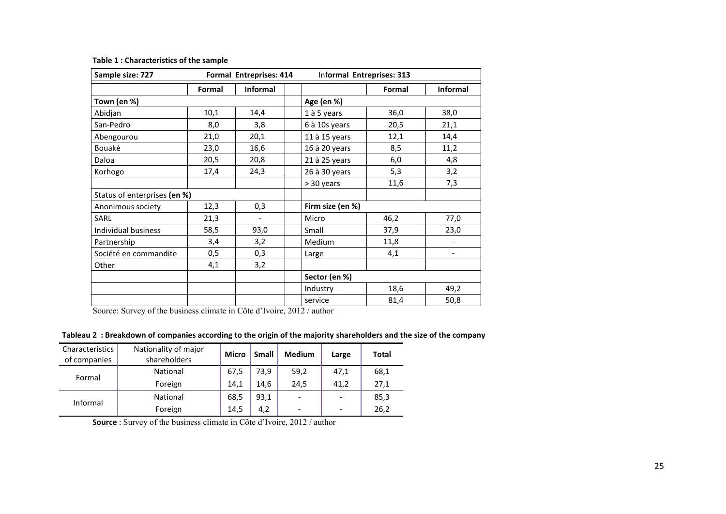| Sample size: 727             |        | Formal Entreprises: 414  | Informal Entreprises: 313 |        |                          |  |  |  |  |
|------------------------------|--------|--------------------------|---------------------------|--------|--------------------------|--|--|--|--|
|                              | Formal | Informal                 |                           | Formal | <b>Informal</b>          |  |  |  |  |
| Town (en %)                  |        |                          | Age (en %)                |        |                          |  |  |  |  |
| Abidjan                      | 10,1   | 14,4                     | 1 à 5 years               | 36,0   | 38,0                     |  |  |  |  |
| San-Pedro                    | 8,0    | 3,8                      | 6 à 10s years             | 20,5   | 21,1                     |  |  |  |  |
| Abengourou                   | 21,0   | 20,1                     | 11 à 15 years             | 12,1   | 14,4                     |  |  |  |  |
| Bouaké                       | 23,0   | 16,6                     | 16 à 20 years             | 8,5    | 11,2                     |  |  |  |  |
| Daloa                        | 20,5   | 20,8                     | 21 à 25 years             | 6,0    | 4,8                      |  |  |  |  |
| Korhogo                      | 17,4   | 24,3                     | 26 à 30 years             | 5,3    | 3,2                      |  |  |  |  |
|                              |        |                          | > 30 years                | 11,6   | 7,3                      |  |  |  |  |
| Status of enterprises (en %) |        |                          |                           |        |                          |  |  |  |  |
| Anonimous society            | 12,3   | 0,3                      | Firm size (en %)          |        |                          |  |  |  |  |
| SARL                         | 21,3   | $\overline{\phantom{a}}$ | Micro                     | 46,2   | 77,0                     |  |  |  |  |
| Individual business          | 58,5   | 93,0                     | Small                     | 37,9   | 23,0                     |  |  |  |  |
| Partnership                  | 3,4    | 3,2                      | Medium                    | 11,8   | $\overline{\phantom{a}}$ |  |  |  |  |
| Société en commandite        | 0, 5   | 0,3                      | Large                     | 4,1    | $\overline{\phantom{a}}$ |  |  |  |  |
| Other                        | 4,1    | 3,2                      |                           |        |                          |  |  |  |  |
|                              |        |                          | Sector (en %)             |        |                          |  |  |  |  |
|                              |        |                          | Industry                  | 18,6   | 49,2                     |  |  |  |  |
|                              |        |                          | service                   | 81,4   | 50,8                     |  |  |  |  |

#### **Table 1 : Characteristics of the sample**

Source: Survey of the business climate in Côte d'Ivoire, 2012 / author

**Tableau 2 : Breakdown of companies according to the origin of the majority shareholders and the size of the company** 

| Characteristics<br>of companies | Nationality of major<br>shareholders | <b>Micro</b> | <b>Small</b> | <b>Medium</b> | Large | Total |
|---------------------------------|--------------------------------------|--------------|--------------|---------------|-------|-------|
| Formal                          | National                             | 67,5         | 73,9         | 59,2          | 47,1  | 68,1  |
|                                 | Foreign                              | 14,1         | 14,6         | 24,5          | 41,2  | 27,1  |
| Informal                        | National                             | 68,5         | 93,1         |               |       | 85,3  |
|                                 | Foreign                              | 14,5         | 4,2          | -             |       | 26,2  |